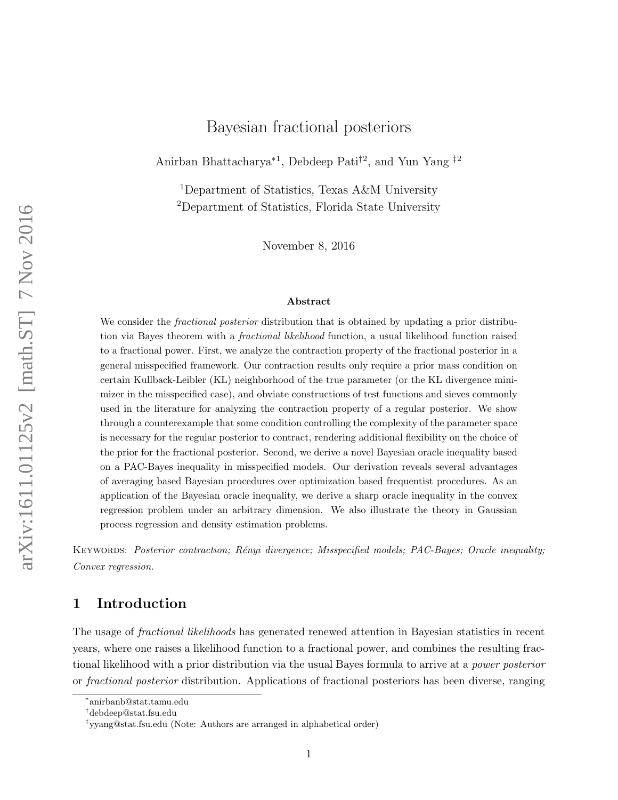## Bayesian fractional posteriors

Anirban Bhattacharya<sup>\*1</sup>, Debdeep Pati<sup>†2</sup>, and Yun Yang <sup>‡2</sup>

<sup>1</sup>Department of Statistics, Texas A&M University <sup>2</sup>Department of Statistics, Florida State University

November 8, 2016

#### Abstract

We consider the *fractional posterior* distribution that is obtained by updating a prior distribution via Bayes theorem with a fractional likelihood function, a usual likelihood function raised to a fractional power. First, we analyze the contraction property of the fractional posterior in a general misspecified framework. Our contraction results only require a prior mass condition on certain Kullback-Leibler (KL) neighborhood of the true parameter (or the KL divergence minimizer in the misspecified case), and obviate constructions of test functions and sieves commonly used in the literature for analyzing the contraction property of a regular posterior. We show through a counterexample that some condition controlling the complexity of the parameter space is necessary for the regular posterior to contract, rendering additional flexibility on the choice of the prior for the fractional posterior. Second, we derive a novel Bayesian oracle inequality based on a PAC-Bayes inequality in misspecified models. Our derivation reveals several advantages of averaging based Bayesian procedures over optimization based frequentist procedures. As an application of the Bayesian oracle inequality, we derive a sharp oracle inequality in the convex regression problem under an arbitrary dimension. We also illustrate the theory in Gaussian process regression and density estimation problems.

KEYWORDS: Posterior contraction; Rényi divergence; Misspecified models; PAC-Bayes; Oracle inequality; Convex regression.

## 1 Introduction

The usage of *fractional likelihoods* has generated renewed attention in Bayesian statistics in recent years, where one raises a likelihood function to a fractional power, and combines the resulting fractional likelihood with a prior distribution via the usual Bayes formula to arrive at a power posterior or fractional posterior distribution. Applications of fractional posteriors has been diverse, ranging

<sup>∗</sup> anirbanb@stat.tamu.edu

<sup>†</sup>debdeep@stat.fsu.edu

<sup>‡</sup> yyang@stat.fsu.edu (Note: Authors are arranged in alphabetical order)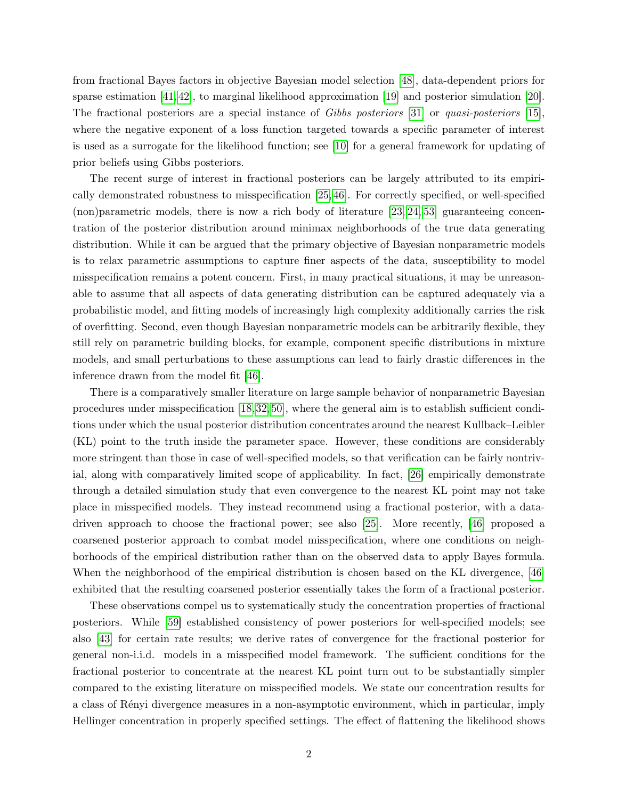from fractional Bayes factors in objective Bayesian model selection [\[48\]](#page-34-0), data-dependent priors for sparse estimation [\[41,](#page-33-0) [42\]](#page-33-1), to marginal likelihood approximation [\[19\]](#page-32-0) and posterior simulation [\[20\]](#page-32-1). The fractional posteriors are a special instance of Gibbs posteriors [\[31\]](#page-33-2) or quasi-posteriors [\[15\]](#page-32-2), where the negative exponent of a loss function targeted towards a specific parameter of interest is used as a surrogate for the likelihood function; see [\[10\]](#page-31-0) for a general framework for updating of prior beliefs using Gibbs posteriors.

The recent surge of interest in fractional posteriors can be largely attributed to its empirically demonstrated robustness to misspecification [\[25,](#page-32-3) [46\]](#page-34-1). For correctly specified, or well-specified (non)parametric models, there is now a rich body of literature [\[23,](#page-32-4) [24,](#page-32-5) [53\]](#page-34-2) guaranteeing concentration of the posterior distribution around minimax neighborhoods of the true data generating distribution. While it can be argued that the primary objective of Bayesian nonparametric models is to relax parametric assumptions to capture finer aspects of the data, susceptibility to model misspecification remains a potent concern. First, in many practical situations, it may be unreasonable to assume that all aspects of data generating distribution can be captured adequately via a probabilistic model, and fitting models of increasingly high complexity additionally carries the risk of overfitting. Second, even though Bayesian nonparametric models can be arbitrarily flexible, they still rely on parametric building blocks, for example, component specific distributions in mixture models, and small perturbations to these assumptions can lead to fairly drastic differences in the inference drawn from the model fit [\[46\]](#page-34-1).

There is a comparatively smaller literature on large sample behavior of nonparametric Bayesian procedures under misspecification [\[18,](#page-32-6) [32,](#page-33-3) [50\]](#page-34-3), where the general aim is to establish sufficient conditions under which the usual posterior distribution concentrates around the nearest Kullback–Leibler (KL) point to the truth inside the parameter space. However, these conditions are considerably more stringent than those in case of well-specified models, so that verification can be fairly nontrivial, along with comparatively limited scope of applicability. In fact, [\[26\]](#page-32-7) empirically demonstrate through a detailed simulation study that even convergence to the nearest KL point may not take place in misspecified models. They instead recommend using a fractional posterior, with a datadriven approach to choose the fractional power; see also [\[25\]](#page-32-3). More recently, [\[46\]](#page-34-1) proposed a coarsened posterior approach to combat model misspecification, where one conditions on neighborhoods of the empirical distribution rather than on the observed data to apply Bayes formula. When the neighborhood of the empirical distribution is chosen based on the KL divergence, [\[46\]](#page-34-1) exhibited that the resulting coarsened posterior essentially takes the form of a fractional posterior.

These observations compel us to systematically study the concentration properties of fractional posteriors. While [\[59\]](#page-34-4) established consistency of power posteriors for well-specified models; see also [\[43\]](#page-33-4) for certain rate results; we derive rates of convergence for the fractional posterior for general non-i.i.d. models in a misspecified model framework. The sufficient conditions for the fractional posterior to concentrate at the nearest KL point turn out to be substantially simpler compared to the existing literature on misspecified models. We state our concentration results for a class of R´enyi divergence measures in a non-asymptotic environment, which in particular, imply Hellinger concentration in properly specified settings. The effect of flattening the likelihood shows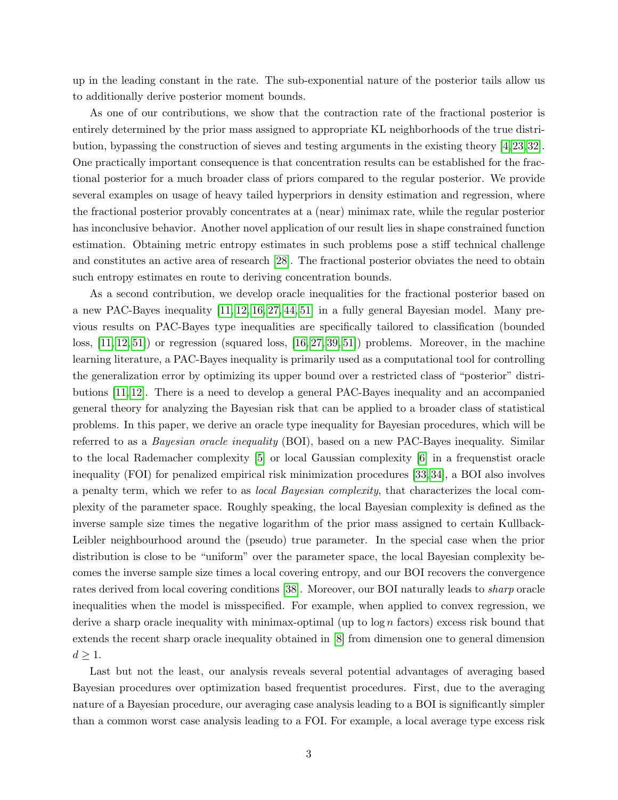up in the leading constant in the rate. The sub-exponential nature of the posterior tails allow us to additionally derive posterior moment bounds.

As one of our contributions, we show that the contraction rate of the fractional posterior is entirely determined by the prior mass assigned to appropriate KL neighborhoods of the true distribution, bypassing the construction of sieves and testing arguments in the existing theory [\[4,](#page-31-1) [23,](#page-32-4) [32\]](#page-33-3). One practically important consequence is that concentration results can be established for the fractional posterior for a much broader class of priors compared to the regular posterior. We provide several examples on usage of heavy tailed hyperpriors in density estimation and regression, where the fractional posterior provably concentrates at a (near) minimax rate, while the regular posterior has inconclusive behavior. Another novel application of our result lies in shape constrained function estimation. Obtaining metric entropy estimates in such problems pose a stiff technical challenge and constitutes an active area of research [\[28\]](#page-33-5). The fractional posterior obviates the need to obtain such entropy estimates en route to deriving concentration bounds.

As a second contribution, we develop oracle inequalities for the fractional posterior based on a new PAC-Bayes inequality [\[11,](#page-31-2) [12,](#page-31-3) [16,](#page-32-8) [27,](#page-32-9) [44,](#page-34-5) [51\]](#page-34-6) in a fully general Bayesian model. Many previous results on PAC-Bayes type inequalities are specifically tailored to classification (bounded loss, [\[11,](#page-31-2) [12,](#page-31-3) [51\]](#page-34-6)) or regression (squared loss, [\[16,](#page-32-8) [27,](#page-32-9) [39,](#page-33-6) 51]) problems. Moreover, in the machine learning literature, a PAC-Bayes inequality is primarily used as a computational tool for controlling the generalization error by optimizing its upper bound over a restricted class of "posterior" distributions [\[11,](#page-31-2) [12\]](#page-31-3). There is a need to develop a general PAC-Bayes inequality and an accompanied general theory for analyzing the Bayesian risk that can be applied to a broader class of statistical problems. In this paper, we derive an oracle type inequality for Bayesian procedures, which will be referred to as a Bayesian oracle inequality (BOI), based on a new PAC-Bayes inequality. Similar to the local Rademacher complexity [\[5\]](#page-31-4) or local Gaussian complexity [\[6\]](#page-31-5) in a frequenstist oracle inequality (FOI) for penalized empirical risk minimization procedures [\[33,](#page-33-7) [34\]](#page-33-8), a BOI also involves a penalty term, which we refer to as local Bayesian complexity, that characterizes the local complexity of the parameter space. Roughly speaking, the local Bayesian complexity is defined as the inverse sample size times the negative logarithm of the prior mass assigned to certain Kullback-Leibler neighbourhood around the (pseudo) true parameter. In the special case when the prior distribution is close to be "uniform" over the parameter space, the local Bayesian complexity becomes the inverse sample size times a local covering entropy, and our BOI recovers the convergence rates derived from local covering conditions [\[38\]](#page-33-9). Moreover, our BOI naturally leads to sharp oracle inequalities when the model is misspecified. For example, when applied to convex regression, we derive a sharp oracle inequality with minimax-optimal (up to  $\log n$  factors) excess risk bound that extends the recent sharp oracle inequality obtained in [\[8\]](#page-31-6) from dimension one to general dimension  $d \geq 1$ .

Last but not the least, our analysis reveals several potential advantages of averaging based Bayesian procedures over optimization based frequentist procedures. First, due to the averaging nature of a Bayesian procedure, our averaging case analysis leading to a BOI is significantly simpler than a common worst case analysis leading to a FOI. For example, a local average type excess risk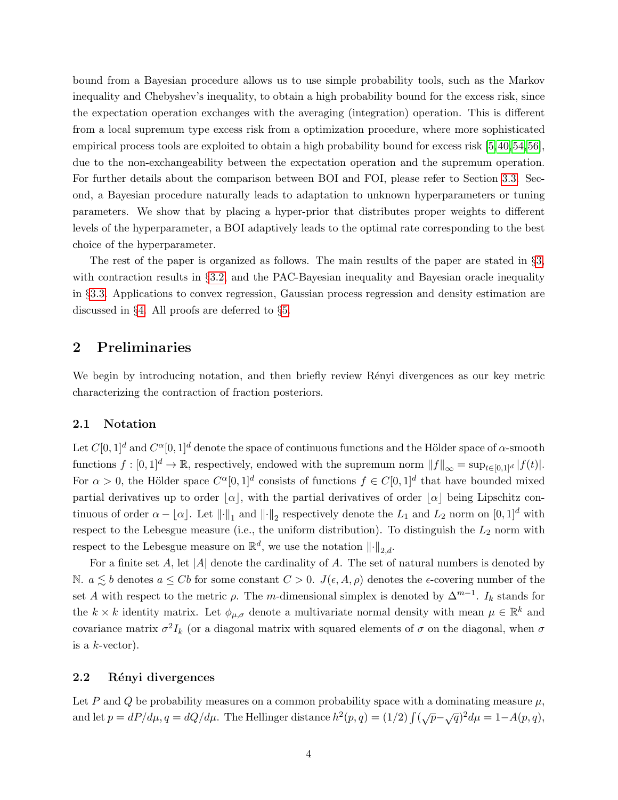bound from a Bayesian procedure allows us to use simple probability tools, such as the Markov inequality and Chebyshev's inequality, to obtain a high probability bound for the excess risk, since the expectation operation exchanges with the averaging (integration) operation. This is different from a local supremum type excess risk from a optimization procedure, where more sophisticated empirical process tools are exploited to obtain a high probability bound for excess risk [\[5,](#page-31-4)[40,](#page-33-10)[54,](#page-34-7)[56\]](#page-34-8), due to the non-exchangeability between the expectation operation and the supremum operation. For further details about the comparison between BOI and FOI, please refer to Section [3.3.](#page-10-0) Second, a Bayesian procedure naturally leads to adaptation to unknown hyperparameters or tuning parameters. We show that by placing a hyper-prior that distributes proper weights to different levels of the hyperparameter, a BOI adaptively leads to the optimal rate corresponding to the best choice of the hyperparameter.

The rest of the paper is organized as follows. The main results of the paper are stated in §[3,](#page-4-0) with contraction results in §[3.2,](#page-7-0) and the PAC-Bayesian inequality and Bayesian oracle inequality in §[3.3.](#page-10-0) Applications to convex regression, Gaussian process regression and density estimation are discussed in §[4.](#page-15-0) All proofs are deferred to §[5.](#page-20-0)

## 2 Preliminaries

We begin by introducing notation, and then briefly review Rényi divergences as our key metric characterizing the contraction of fraction posteriors.

#### 2.1 Notation

Let  $C[0,1]^d$  and  $C^{\alpha}[0,1]^d$  denote the space of continuous functions and the Hölder space of  $\alpha$ -smooth functions  $f : [0,1]^d \to \mathbb{R}$ , respectively, endowed with the supremum norm  $||f||_{\infty} = \sup_{t \in [0,1]^d} |f(t)|$ . For  $\alpha > 0$ , the Hölder space  $C^{\alpha}[0,1]^d$  consists of functions  $f \in C[0,1]^d$  that have bounded mixed partial derivatives up to order  $|\alpha|$ , with the partial derivatives of order  $|\alpha|$  being Lipschitz continuous of order  $\alpha - \lfloor \alpha \rfloor$ . Let  $\|\cdot\|_1$  and  $\|\cdot\|_2$  respectively denote the  $L_1$  and  $L_2$  norm on  $[0, 1]^d$  with respect to the Lebesgue measure (i.e., the uniform distribution). To distinguish the  $L_2$  norm with respect to the Lebesgue measure on  $\mathbb{R}^d$ , we use the notation  $\lVert \cdot \rVert_{2,d}$ .

For a finite set  $A$ , let |A| denote the cardinality of  $A$ . The set of natural numbers is denoted by N.  $a \lesssim b$  denotes  $a \leq Cb$  for some constant  $C > 0$ .  $J(\epsilon, A, \rho)$  denotes the  $\epsilon$ -covering number of the set A with respect to the metric  $\rho$ . The m-dimensional simplex is denoted by  $\Delta^{m-1}$ . I<sub>k</sub> stands for the  $k \times k$  identity matrix. Let  $\phi_{\mu,\sigma}$  denote a multivariate normal density with mean  $\mu \in \mathbb{R}^k$  and covariance matrix  $\sigma^2 I_k$  (or a diagonal matrix with squared elements of  $\sigma$  on the diagonal, when  $\sigma$ is a  $k$ -vector).

## <span id="page-3-0"></span>2.2 Rényi divergences

Let P and Q be probability measures on a common probability space with a dominating measure  $\mu$ , and let  $p = dP/d\mu$ ,  $q = dQ/d\mu$ . The Hellinger distance  $h^2(p,q) = (1/2) \int (\sqrt{p}-\sqrt{q})^2 d\mu = 1-A(p,q)$ ,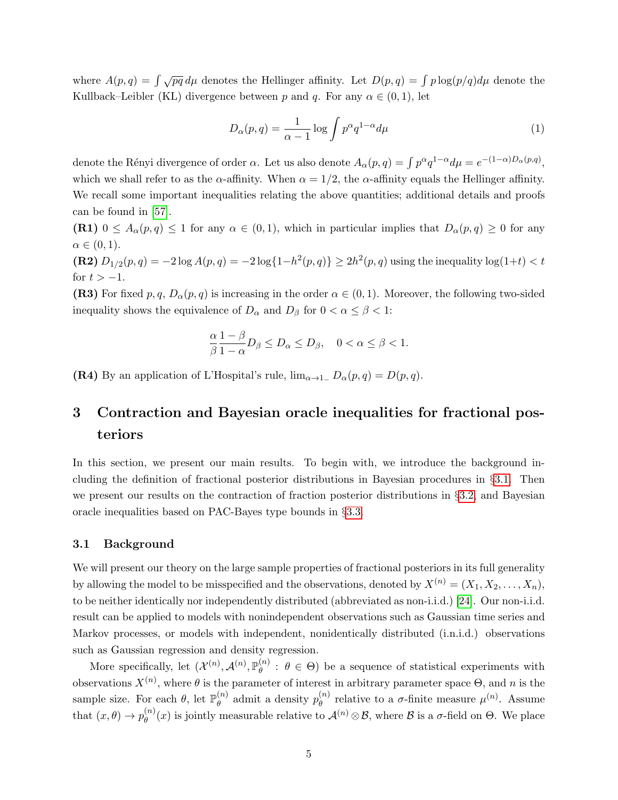where  $A(p,q) = \int \sqrt{pq} d\mu$  denotes the Hellinger affinity. Let  $D(p,q) = \int p \log(p/q) d\mu$  denote the Kullback–Leibler (KL) divergence between p and q. For any  $\alpha \in (0,1)$ , let

$$
D_{\alpha}(p,q) = \frac{1}{\alpha - 1} \log \int p^{\alpha} q^{1-\alpha} d\mu \tag{1}
$$

denote the Rényi divergence of order  $\alpha$ . Let us also denote  $A_{\alpha}(p,q) = \int p^{\alpha}q^{1-\alpha}d\mu = e^{-(1-\alpha)D_{\alpha}(p,q)},$ which we shall refer to as the  $\alpha$ -affinity. When  $\alpha = 1/2$ , the  $\alpha$ -affinity equals the Hellinger affinity. We recall some important inequalities relating the above quantities; additional details and proofs can be found in [\[57\]](#page-34-9).

(R1)  $0 \leq A_{\alpha}(p,q) \leq 1$  for any  $\alpha \in (0,1)$ , which in particular implies that  $D_{\alpha}(p,q) \geq 0$  for any  $\alpha \in (0,1)$ .

(R2)  $D_{1/2}(p,q) = -2 \log A(p,q) = -2 \log \{1-h^2(p,q)\} \ge 2h^2(p,q)$  using the inequality  $\log(1+t) < t$ for  $t > -1$ .

(R3) For fixed p, q,  $D_{\alpha}(p,q)$  is increasing in the order  $\alpha \in (0,1)$ . Moreover, the following two-sided inequality shows the equivalence of  $D_{\alpha}$  and  $D_{\beta}$  for  $0 < \alpha \leq \beta < 1$ :

$$
\frac{\alpha}{\beta} \frac{1-\beta}{1-\alpha} D_{\beta} \le D_{\alpha} \le D_{\beta}, \quad 0 < \alpha \le \beta < 1.
$$

(R4) By an application of L'Hospital's rule,  $\lim_{\alpha \to 1^-} D_{\alpha}(p,q) = D(p,q)$ .

# <span id="page-4-0"></span>3 Contraction and Bayesian oracle inequalities for fractional posteriors

In this section, we present our main results. To begin with, we introduce the background including the definition of fractional posterior distributions in Bayesian procedures in §[3.1.](#page-4-1) Then we present our results on the contraction of fraction posterior distributions in §[3.2,](#page-7-0) and Bayesian oracle inequalities based on PAC-Bayes type bounds in §[3.3.](#page-10-0)

## <span id="page-4-1"></span>3.1 Background

We will present our theory on the large sample properties of fractional posteriors in its full generality by allowing the model to be misspecified and the observations, denoted by  $X^{(n)} = (X_1, X_2, \ldots, X_n)$ , to be neither identically nor independently distributed (abbreviated as non-i.i.d.) [\[24\]](#page-32-5). Our non-i.i.d. result can be applied to models with nonindependent observations such as Gaussian time series and Markov processes, or models with independent, nonidentically distributed (i.n.i.d.) observations such as Gaussian regression and density regression.

More specifically, let  $(\mathcal{X}^{(n)}, \mathcal{A}^{(n)}, \mathbb{P}_{\theta}^{(n)})$  $\theta_{\theta}^{(n)}$ :  $\theta \in \Theta$ ) be a sequence of statistical experiments with observations  $X^{(n)}$ , where  $\theta$  is the parameter of interest in arbitrary parameter space  $\Theta$ , and n is the sample size. For each  $\theta$ , let  $\mathbb{P}_{\theta}^{(n)}$  $\theta_{\theta}^{(n)}$  admit a density  $p_{\theta}^{(n)}$  $_{\theta}^{(n)}$  relative to a  $\sigma$ -finite measure  $\mu^{(n)}$ . Assume that  $(x, \theta) \rightarrow p_{\theta}^{(n)}$  $\theta_{\theta}^{(n)}(x)$  is jointly measurable relative to  $\mathcal{A}^{(n)} \otimes \mathcal{B}$ , where  $\mathcal{B}$  is a  $\sigma$ -field on  $\Theta$ . We place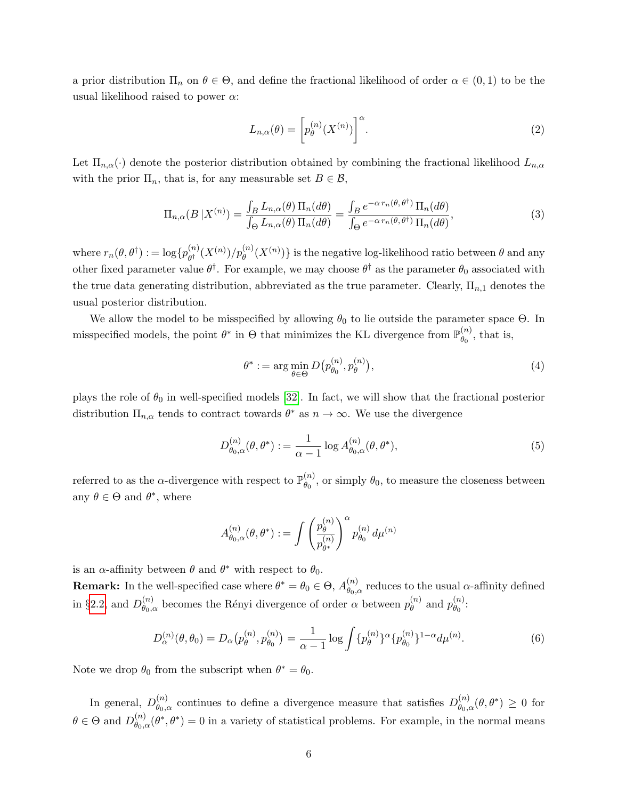a prior distribution  $\Pi_n$  on  $\theta \in \Theta$ , and define the fractional likelihood of order  $\alpha \in (0,1)$  to be the usual likelihood raised to power  $\alpha$ :

<span id="page-5-2"></span>
$$
L_{n,\alpha}(\theta) = \left[ p_{\theta}^{(n)}(X^{(n)}) \right]^{\alpha}.
$$
 (2)

Let  $\Pi_{n,\alpha}(\cdot)$  denote the posterior distribution obtained by combining the fractional likelihood  $L_{n,\alpha}$ with the prior  $\Pi_n$ , that is, for any measurable set  $B \in \mathcal{B}$ ,

$$
\Pi_{n,\alpha}(B|X^{(n)}) = \frac{\int_B L_{n,\alpha}(\theta) \Pi_n(d\theta)}{\int_\Theta L_{n,\alpha}(\theta) \Pi_n(d\theta)} = \frac{\int_B e^{-\alpha \, r_n(\theta,\theta^\dagger)} \Pi_n(d\theta)}{\int_\Theta e^{-\alpha \, r_n(\theta,\theta^\dagger)} \Pi_n(d\theta)},\tag{3}
$$

where  $r_n(\theta, \theta^{\dagger}) := \log\{p_{\theta^{\dagger}}^{(n)}\}$  $\binom{n}{\theta^{\dagger}}(X^{(n)})/p_{\theta}^{(n)}(X^{(n)})\}$  is the negative log-likelihood ratio between  $\theta$  and any other fixed parameter value  $\theta^{\dagger}$ . For example, we may choose  $\theta^{\dagger}$  as the parameter  $\theta_0$  associated with the true data generating distribution, abbreviated as the true parameter. Clearly,  $\Pi_{n,1}$  denotes the usual posterior distribution.

We allow the model to be misspecified by allowing  $\theta_0$  to lie outside the parameter space  $\Theta$ . In misspecified models, the point  $\theta^*$  in  $\Theta$  that minimizes the KL divergence from  $\mathbb{P}_{\theta_0}^{(n)}$  $\theta_0^{(n)}$ , that is,

<span id="page-5-0"></span>
$$
\theta^* := \arg\min_{\theta \in \Theta} D(p_{\theta_0}^{(n)}, p_{\theta}^{(n)}),\tag{4}
$$

plays the role of  $\theta_0$  in well-specified models [\[32\]](#page-33-3). In fact, we will show that the fractional posterior distribution  $\Pi_{n,\alpha}$  tends to contract towards  $\theta^*$  as  $n \to \infty$ . We use the divergence

$$
D_{\theta_0,\alpha}^{(n)}(\theta,\theta^*) := \frac{1}{\alpha - 1} \log A_{\theta_0,\alpha}^{(n)}(\theta,\theta^*),
$$
\n(5)

referred to as the  $\alpha$ -divergence with respect to  $\mathbb{P}_{\theta_{\alpha}}^{(n)}$  $\theta_0^{(n)}$ , or simply  $\theta_0$ , to measure the closeness between any  $\theta \in \Theta$  and  $\theta^*$ , where

<span id="page-5-1"></span>
$$
A_{\theta_0,\alpha}^{(n)}(\theta,\theta^*):=\int\left(\frac{p_\theta^{(n)}}{p_{\theta^*}^{(n)}}\right)^\alpha p_{\theta_0}^{(n)}\,d\mu^{(n)}
$$

is an  $\alpha$ -affinity between  $\theta$  and  $\theta^*$  with respect to  $\theta_0$ .

**Remark:** In the well-specified case where  $\theta^* = \theta_0 \in \Theta$ ,  $A_{\theta_0, \theta_0}^{(n)}$  $\theta_{\theta_0,\alpha}^{(n)}$  reduces to the usual  $\alpha$ -affinity defined in §[2.2,](#page-3-0) and  $D_{\theta_0}^{(n)}$  $\genfrac{(}{)}{}{}{n}{\theta_{0},\alpha}$  becomes the Rényi divergence of order  $\alpha$  between  $p_{\theta}^{(n)}$  $_{\theta }^{(n)}$  and  $p_{\theta_{0}}^{(n)}$  $\overset{(n)}{\theta_0}$ :

$$
D_{\alpha}^{(n)}(\theta,\theta_0) = D_{\alpha}(p_{\theta}^{(n)},p_{\theta_0}^{(n)}) = \frac{1}{\alpha-1}\log\int \{p_{\theta}^{(n)}\}^{\alpha}\{p_{\theta_0}^{(n)}\}^{1-\alpha}d\mu^{(n)}.
$$
 (6)

Note we drop  $\theta_0$  from the subscript when  $\theta^* = \theta_0$ .

In general,  $D_{\theta_0}^{(n)}$  $\theta_{\theta_0,\alpha}^{(n)}$  continues to define a divergence measure that satisfies  $D_{\theta_0,\alpha}^{(n)}$  $\binom{n}{\theta_0,\alpha}(\theta,\theta^*)\,\geq\, 0\,$  for  $\theta \in \Theta$  and  $D_{\theta_0}^{(n)}$  $\theta_{\theta_0,\alpha}^{(n)}(\theta^*,\theta^*)=0$  in a variety of statistical problems. For example, in the normal means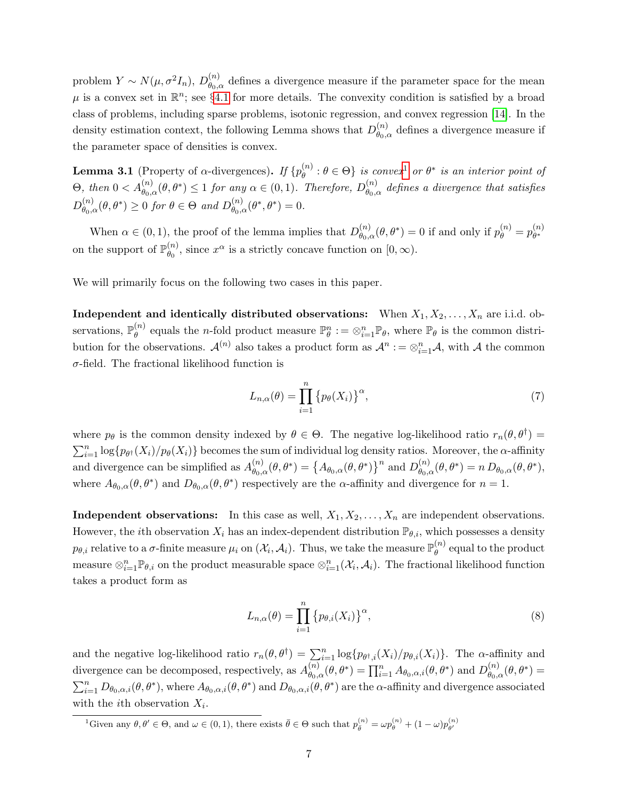problem  $Y \sim N(\mu, \sigma^2 I_n)$ ,  $D_{\theta_{0,d}}^{(n)}$  $\theta_{\theta_0,\alpha}^{(n)}$  defines a divergence measure if the parameter space for the mean  $\mu$  is a convex set in  $\mathbb{R}^n$ ; see §[4.1](#page-16-0) for more details. The convexity condition is satisfied by a broad class of problems, including sparse problems, isotonic regression, and convex regression [\[14\]](#page-32-10). In the density estimation context, the following Lemma shows that  $D_{\theta_0}^{(n)}$  $\theta_{\theta,\alpha}^{(n)}$  defines a divergence measure if the parameter space of densities is convex.

<span id="page-6-1"></span>**Lemma 3.1** (Property of  $\alpha$ -divergences). If  $\{p_{\theta}^{(n)}\}$  $\{\theta_{\theta}^{(n)}: \theta \in \Theta\}$  is convex<sup>[1](#page-6-0)</sup> or  $\theta^*$  is an interior point of  $\Theta$ , then  $0 < A_{\theta_0,\alpha}^{(n)}(\theta,\theta^*) \leq 1$  for any  $\alpha \in (0,1)$ . Therefore,  $D_{\theta_0,\alpha}^{(n)}$  $\theta_{\theta_0,\alpha}^{(n)}$  defines a divergence that satisfies  $D_{\theta_0}^{(n)}$  $\theta_{\theta_0,\alpha}^{(n)}(\theta,\theta^*) \geq 0$  for  $\theta \in \Theta$  and  $D_{\theta_0,\alpha}^{(n)}$  $\overset{(n)}{\theta_{0,\alpha}}(\theta^*,\theta^*)=0.$ 

When  $\alpha \in (0, 1)$ , the proof of the lemma implies that  $D_{\theta_{\alpha}}^{(n)}$  $\theta_{\theta_0,\alpha}^{(n)}(\theta,\theta^*)=0$  if and only if  $p_{\theta}^{(n)}=p_{\theta^*}^{(n)}$ θ ∗ on the support of  $\mathbb{P}_{\theta_0}^{(n)}$  $\binom{n}{\theta_0}$ , since  $x^{\alpha}$  is a strictly concave function on  $[0, \infty)$ .

We will primarily focus on the following two cases in this paper.

**Independent and identically distributed observations:** When  $X_1, X_2, \ldots, X_n$  are i.i.d. observations,  $\mathbb{P}_{\theta}^{(n)}$  $\mathbb{P}_{\theta}^{(n)}$  equals the *n*-fold product measure  $\mathbb{P}_{\theta}^{n} := \otimes_{i=1}^{n} \mathbb{P}_{\theta}$ , where  $\mathbb{P}_{\theta}$  is the common distribution for the observations.  $\mathcal{A}^{(n)}$  also takes a product form as  $\mathcal{A}^n := \otimes_{i=1}^n \mathcal{A}$ , with  $\mathcal A$  the common  $\sigma$ -field. The fractional likelihood function is

$$
L_{n,\alpha}(\theta) = \prod_{i=1}^{n} \left\{ p_{\theta}(X_i) \right\}^{\alpha},\tag{7}
$$

where  $p_{\theta}$  is the common density indexed by  $\theta \in \Theta$ . The negative log-likelihood ratio  $r_n(\theta, \theta^{\dagger}) =$  $\sum_{i=1}^n \log\{p_{\theta^{\dagger}}(X_i)/p_{\theta}(X_i)\}\)$  becomes the sum of individual log density ratios. Moreover, the  $\alpha$ -affinity and divergence can be simplified as  $A_{\theta_0}^{(n)}$  $\theta_{\theta_0,\alpha}^{(n)}(\theta,\theta^*) = \left\{A_{\theta_0,\alpha}(\theta,\theta^*)\right\}^n$  and  $D_{\theta_0,\alpha}^{(n)}$  $\theta_{\theta,\alpha}^{(n)}(\theta,\theta^*)=n D_{\theta_0,\alpha}(\theta,\theta^*),$ where  $A_{\theta_0,\alpha}(\theta,\theta^*)$  and  $D_{\theta_0,\alpha}(\theta,\theta^*)$  respectively are the  $\alpha$ -affinity and divergence for  $n=1$ .

**Independent observations:** In this case as well,  $X_1, X_2, \ldots, X_n$  are independent observations. However, the *i*th observation  $X_i$  has an index-dependent distribution  $\mathbb{P}_{\theta,i}$ , which possesses a density  $p_{\theta,i}$  relative to a  $\sigma$ -finite measure  $\mu_i$  on  $(\mathcal{X}_i, \mathcal{A}_i)$ . Thus, we take the measure  $\mathbb{P}_{\theta}^{(n)}$  $\theta^{(n)}$  equal to the product measure  $\otimes_{i=1}^n \mathbb{P}_{\theta,i}$  on the product measurable space  $\otimes_{i=1}^n (\mathcal{X}_i, \mathcal{A}_i)$ . The fractional likelihood function takes a product form as

$$
L_{n,\alpha}(\theta) = \prod_{i=1}^{n} \{p_{\theta,i}(X_i)\}^{\alpha},\tag{8}
$$

and the negative log-likelihood ratio  $r_n(\theta, \theta^{\dagger}) = \sum_{i=1}^n \log\{p_{\theta^{\dagger},i}(X_i)/p_{\theta,i}(X_i)\}\.$  The  $\alpha$ -affinity and divergence can be decomposed, respectively, as  $A_{\theta_0}^{(n)}$  $\theta_{\theta_0,\alpha}^{(n)}(\theta,\theta^*) = \prod_{i=1}^n A_{\theta_0,\alpha,i}(\theta,\theta^*)$  and  $D_{\theta_0,\alpha}^{(n)}$  $\overset{(n)}{\theta_{0,\alpha}}(\theta,\theta^*)=$  $\sum_{i=1}^n D_{\theta_0,\alpha,i}(\theta,\theta^*)$ , where  $A_{\theta_0,\alpha,i}(\theta,\theta^*)$  and  $D_{\theta_0,\alpha,i}(\theta,\theta^*)$  are the  $\alpha$ -affinity and divergence associated with the *i*th observation  $X_i$ .

<span id="page-6-0"></span><sup>&</sup>lt;sup>1</sup>Given any  $\theta, \theta' \in \Theta$ , and  $\omega \in (0, 1)$ , there exists  $\bar{\theta} \in \Theta$  such that  $p_{\bar{\theta}}^{(n)} = \omega p_{\theta}^{(n)} + (1 - \omega)p_{\theta'}^{(n)}$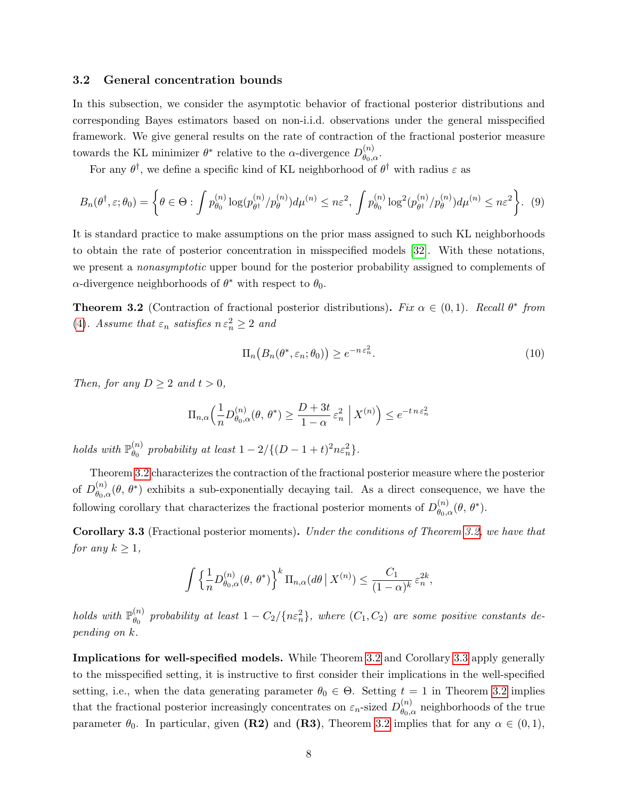#### <span id="page-7-0"></span>3.2 General concentration bounds

In this subsection, we consider the asymptotic behavior of fractional posterior distributions and corresponding Bayes estimators based on non-i.i.d. observations under the general misspecified framework. We give general results on the rate of contraction of the fractional posterior measure towards the KL minimizer  $\theta^*$  relative to the  $\alpha$ -divergence  $D_{\theta_{\alpha}}^{(n)}$  $\overset{(n)}{\theta_0,\alpha}$ .

For any  $\theta^{\dagger}$ , we define a specific kind of KL neighborhood of  $\theta^{\dagger}$  with radius  $\varepsilon$  as

$$
B_n(\theta^\dagger, \varepsilon; \theta_0) = \left\{ \theta \in \Theta : \int p_{\theta_0}^{(n)} \log(p_{\theta^\dagger}^{(n)}/p_{\theta}^{(n)}) d\mu^{(n)} \leq n\varepsilon^2, \int p_{\theta_0}^{(n)} \log^2(p_{\theta^\dagger}^{(n)}/p_{\theta}^{(n)}) d\mu^{(n)} \leq n\varepsilon^2 \right\}.
$$
 (9)

It is standard practice to make assumptions on the prior mass assigned to such KL neighborhoods to obtain the rate of posterior concentration in misspecified models [\[32\]](#page-33-3). With these notations, we present a *nonasymptotic* upper bound for the posterior probability assigned to complements of  $\alpha$ -divergence neighborhoods of  $\theta^*$  with respect to  $\theta_0$ .

<span id="page-7-1"></span>**Theorem 3.2** (Contraction of fractional posterior distributions). Fix  $\alpha \in (0,1)$ . Recall  $\theta^*$  from [\(4\)](#page-5-0). Assume that  $\varepsilon_n$  satisfies  $n \varepsilon_n^2 \geq 2$  and

<span id="page-7-4"></span><span id="page-7-3"></span>
$$
\Pi_n(B_n(\theta^*, \varepsilon_n; \theta_0)) \ge e^{-n \varepsilon_n^2}.
$$
\n(10)

Then, for any  $D \geq 2$  and  $t > 0$ ,

$$
\Pi_{n,\alpha}\left(\frac{1}{n}D_{\theta_0,\alpha}^{(n)}(\theta,\,\theta^*)\geq \frac{D+3t}{1-\alpha}\,\varepsilon_n^2\;\Big|\;X^{(n)}\right)\leq e^{-t\,n\,\varepsilon_n^2}
$$

holds with  $\mathbb{P}_{\theta_0}^{(n)}$  $\begin{aligned} \binom{n}{\theta_0} \text{ probability at least } 1 - 2/\{(D-1+t)^2n\varepsilon_n^2\}. \end{aligned}$ 

Theorem [3.2](#page-7-1) characterizes the contraction of the fractional posterior measure where the posterior of  $D_{\theta_0}^{(n)}$  $\theta_{\theta_0,\alpha}^{(n)}(\theta,\theta^*)$  exhibits a sub-exponentially decaying tail. As a direct consequence, we have the following corollary that characterizes the fractional posterior moments of  $D_{\theta_0}^{(n)}$  $\overset{(n)}{\theta_{0,\alpha}}(\theta, \theta^*).$ 

<span id="page-7-2"></span>Corollary 3.3 (Fractional posterior moments). Under the conditions of Theorem [3.2,](#page-7-1) we have that for any  $k \geq 1$ ,

$$
\int \left\{ \frac{1}{n} D_{\theta_0,\alpha}^{(n)}(\theta,\,\theta^*) \right\}^k \Pi_{n,\alpha}(d\theta \,\big|\, X^{(n)}) \leq \frac{C_1}{(1-\alpha)^k} \,\varepsilon_n^{2k},
$$

holds with  $\mathbb{P}_{\theta_0}^{(n)}$  $\genfrac{(}{)}{}{}{n}{\theta_0}$  probability at least  $1-C_2/\{n\varepsilon_n^2\}$ , where  $(C_1,C_2)$  are some positive constants depending on k.

Implications for well-specified models. While Theorem [3.2](#page-7-1) and Corollary [3.3](#page-7-2) apply generally to the misspecified setting, it is instructive to first consider their implications in the well-specified setting, i.e., when the data generating parameter  $\theta_0 \in \Theta$ . Setting  $t = 1$  in Theorem [3.2](#page-7-1) implies that the fractional posterior increasingly concentrates on  $\varepsilon_n$ -sized  $D_{\theta_0, \theta_0}^{(n)}$  $\binom{n}{\theta_0,\alpha}$  neighborhoods of the true parameter  $\theta_0$ . In particular, given (R2) and (R3), Theorem [3.2](#page-7-1) implies that for any  $\alpha \in (0,1)$ ,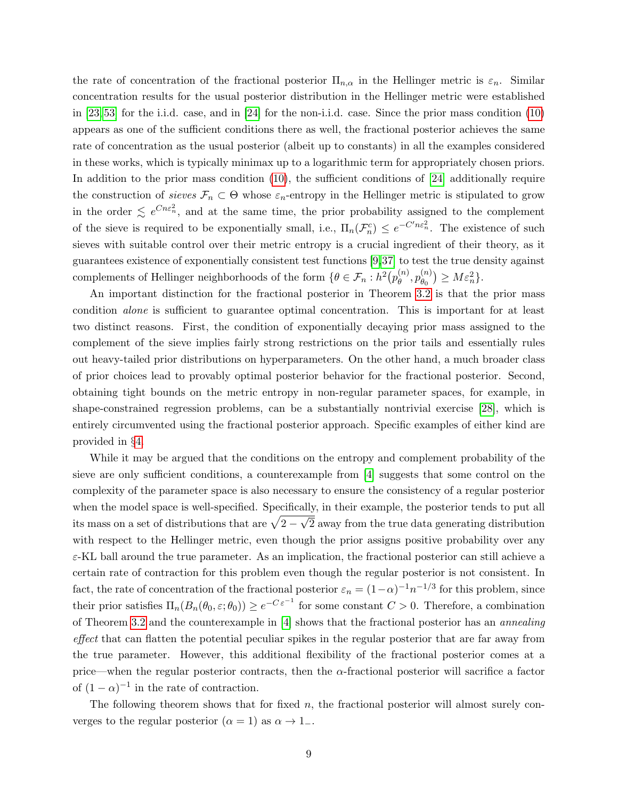the rate of concentration of the fractional posterior  $\Pi_{n,\alpha}$  in the Hellinger metric is  $\varepsilon_n$ . Similar concentration results for the usual posterior distribution in the Hellinger metric were established in [\[23,](#page-32-4) [53\]](#page-34-2) for the i.i.d. case, and in [\[24\]](#page-32-5) for the non-i.i.d. case. Since the prior mass condition [\(10\)](#page-7-3) appears as one of the sufficient conditions there as well, the fractional posterior achieves the same rate of concentration as the usual posterior (albeit up to constants) in all the examples considered in these works, which is typically minimax up to a logarithmic term for appropriately chosen priors. In addition to the prior mass condition [\(10\)](#page-7-3), the sufficient conditions of [\[24\]](#page-32-5) additionally require the construction of sieves  $\mathcal{F}_n \subset \Theta$  whose  $\varepsilon_n$ -entropy in the Hellinger metric is stipulated to grow in the order  $\leq e^{C n \epsilon_n^2}$ , and at the same time, the prior probability assigned to the complement of the sieve is required to be exponentially small, i.e.,  $\Pi_n(\mathcal{F}_n^c) \leq e^{-C'n\epsilon_n^2}$ . The existence of such sieves with suitable control over their metric entropy is a crucial ingredient of their theory, as it guarantees existence of exponentially consistent test functions [\[9,](#page-31-7)[37\]](#page-33-11) to test the true density against complements of Hellinger neighborhoods of the form  $\{\theta \in \mathcal{F}_n : h^2(p_\theta^{(n)})\}$  $\stackrel{(n)}{\theta},p_{\theta_0}^{(n)}$  $\binom{n}{\theta_0} \geq M \varepsilon_n^2$ .

An important distinction for the fractional posterior in Theorem [3.2](#page-7-1) is that the prior mass condition alone is sufficient to guarantee optimal concentration. This is important for at least two distinct reasons. First, the condition of exponentially decaying prior mass assigned to the complement of the sieve implies fairly strong restrictions on the prior tails and essentially rules out heavy-tailed prior distributions on hyperparameters. On the other hand, a much broader class of prior choices lead to provably optimal posterior behavior for the fractional posterior. Second, obtaining tight bounds on the metric entropy in non-regular parameter spaces, for example, in shape-constrained regression problems, can be a substantially nontrivial exercise [\[28\]](#page-33-5), which is entirely circumvented using the fractional posterior approach. Specific examples of either kind are provided in §[4.](#page-15-0)

While it may be argued that the conditions on the entropy and complement probability of the sieve are only sufficient conditions, a counterexample from [\[4\]](#page-31-1) suggests that some control on the complexity of the parameter space is also necessary to ensure the consistency of a regular posterior when the model space is well-specified. Specifically, in their example, the posterior tends to put all its mass on a set of distributions that are  $\sqrt{2}$  – √ 2 away from the true data generating distribution with respect to the Hellinger metric, even though the prior assigns positive probability over any  $\varepsilon$ -KL ball around the true parameter. As an implication, the fractional posterior can still achieve a certain rate of contraction for this problem even though the regular posterior is not consistent. In fact, the rate of concentration of the fractional posterior  $\varepsilon_n = (1-\alpha)^{-1}n^{-1/3}$  for this problem, since their prior satisfies  $\Pi_n(B_n(\theta_0, \varepsilon; \theta_0)) \geq e^{-C \varepsilon^{-1}}$  for some constant  $C > 0$ . Therefore, a combination of Theorem [3.2](#page-7-1) and the counterexample in [\[4\]](#page-31-1) shows that the fractional posterior has an annealing effect that can flatten the potential peculiar spikes in the regular posterior that are far away from the true parameter. However, this additional flexibility of the fractional posterior comes at a price—when the regular posterior contracts, then the  $\alpha$ -fractional posterior will sacrifice a factor of  $(1 - \alpha)^{-1}$  in the rate of contraction.

The following theorem shows that for fixed  $n$ , the fractional posterior will almost surely converges to the regular posterior ( $\alpha = 1$ ) as  $\alpha \rightarrow 1$ <sub>-</sub>.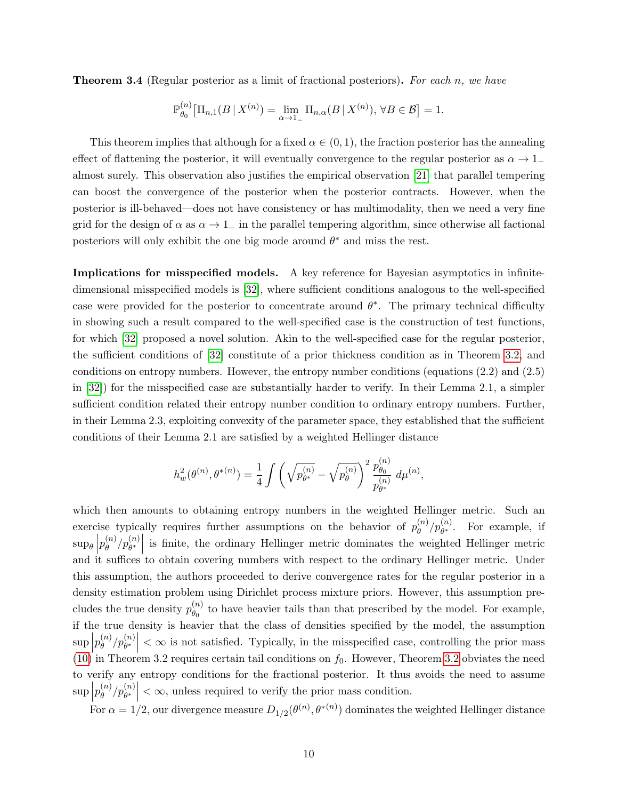<span id="page-9-0"></span>**Theorem 3.4** (Regular posterior as a limit of fractional posteriors). For each n, we have

$$
\mathbb{P}_{\theta_0}^{(n)}\big[\Pi_{n,1}(B\,|\,X^{(n)})=\lim_{\alpha\to 1_-}\Pi_{n,\alpha}(B\,|\,X^{(n)}),\,\forall B\in\mathcal{B}\big]=1.
$$

This theorem implies that although for a fixed  $\alpha \in (0,1)$ , the fraction posterior has the annealing effect of flattening the posterior, it will eventually convergence to the regular posterior as  $\alpha \to 1$ almost surely. This observation also justifies the empirical observation [\[21\]](#page-32-11) that parallel tempering can boost the convergence of the posterior when the posterior contracts. However, when the posterior is ill-behaved—does not have consistency or has multimodality, then we need a very fine grid for the design of  $\alpha$  as  $\alpha \to 1^-$  in the parallel tempering algorithm, since otherwise all factional posteriors will only exhibit the one big mode around  $\theta^*$  and miss the rest.

Implications for misspecified models. A key reference for Bayesian asymptotics in infinitedimensional misspecified models is [\[32\]](#page-33-3), where sufficient conditions analogous to the well-specified case were provided for the posterior to concentrate around  $\theta^*$ . The primary technical difficulty in showing such a result compared to the well-specified case is the construction of test functions, for which [\[32\]](#page-33-3) proposed a novel solution. Akin to the well-specified case for the regular posterior, the sufficient conditions of [\[32\]](#page-33-3) constitute of a prior thickness condition as in Theorem [3.2,](#page-7-1) and conditions on entropy numbers. However, the entropy number conditions (equations (2.2) and (2.5) in [\[32\]](#page-33-3)) for the misspecified case are substantially harder to verify. In their Lemma 2.1, a simpler sufficient condition related their entropy number condition to ordinary entropy numbers. Further, in their Lemma 2.3, exploiting convexity of the parameter space, they established that the sufficient conditions of their Lemma 2.1 are satisfied by a weighted Hellinger distance

$$
h_w^2(\theta^{(n)},\theta^{*(n)})=\frac{1}{4}\int \left(\sqrt{p_{\theta^*}^{(n)}}-\sqrt{p_{\theta}^{(n)}}\right)^2\frac{p_{\theta_0}^{(n)}}{p_{\theta^*}^{(n)}}\ d\mu^{(n)},
$$

which then amounts to obtaining entropy numbers in the weighted Hellinger metric. Such an exercise typically requires further assumptions on the behavior of  $p_{\theta}^{(n)}$  $\binom{n}{\theta}/p_{\theta^*}^{(n)}$ . For example, if  $\sup_{\theta} \Big| p_{\theta}^{(n)}$  $\left\{\n\begin{array}{c}\n(n) \\
\theta\n\end{array}\n\right\}$  is finite, the ordinary Hellinger metric dominates the weighted Hellinger metric and it suffices to obtain covering numbers with respect to the ordinary Hellinger metric. Under this assumption, the authors proceeded to derive convergence rates for the regular posterior in a density estimation problem using Dirichlet process mixture priors. However, this assumption precludes the true density  $p_{\theta_0}^{(n)}$  $\theta_0^{(n)}$  to have heavier tails than that prescribed by the model. For example, if the true density is heavier that the class of densities specified by the model, the assumption  $\sup\left|p_{\theta}^{(n)}\right|$  $\left|\frac{f^{(n)}}{\theta}\right| \leq \infty$  is not satisfied. Typically, in the misspecified case, controlling the prior mass  $(10)$  in Theorem [3.2](#page-7-1) requires certain tail conditions on  $f_0$ . However, Theorem 3.2 obviates the need to verify any entropy conditions for the fractional posterior. It thus avoids the need to assume  $\sup\left|p_{\theta}^{(n)}\right|$  $\binom{n}{\theta}/p_{\theta^*}^{(n)}$  <  $\infty$ , unless required to verify the prior mass condition.

For  $\alpha = 1/2$ , our divergence measure  $D_{1/2}(\theta^{(n)}, \theta^{*(n)})$  dominates the weighted Hellinger distance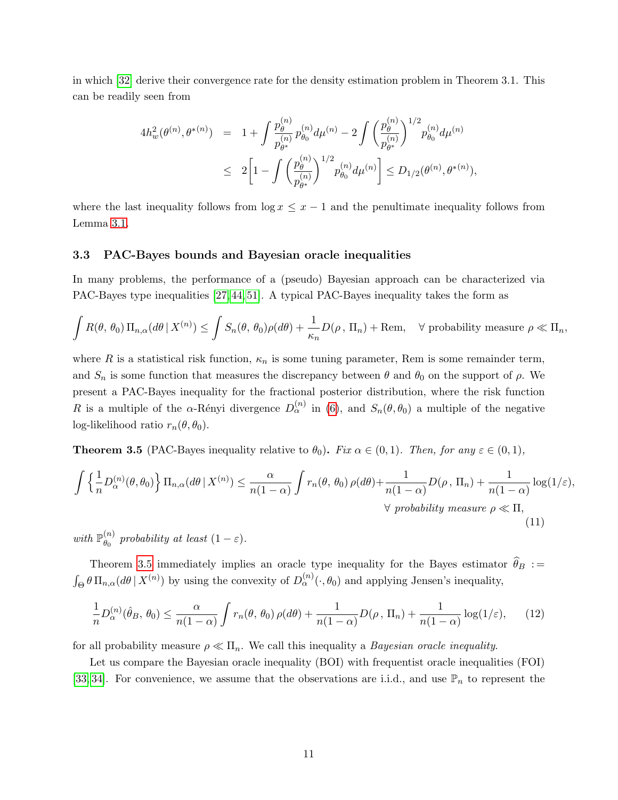in which [\[32\]](#page-33-3) derive their convergence rate for the density estimation problem in Theorem 3.1. This can be readily seen from

$$
\begin{array}{rcl} 4h_w^2(\theta^{(n)},\theta^{*(n)})&=&1+\displaystyle\int\frac{p^{(n)}_\theta}{p^{(n)}_{\theta^*}}p^{(n)}_{\theta_0}d\mu^{(n)}-2\displaystyle\int\left(\frac{p^{(n)}_\theta}{p^{(n)}_{\theta^*}}\right)^{1/2}p^{(n)}_{\theta_0}d\mu^{(n)}\\ &\leq& 2\bigg[1-\displaystyle\int\left(\frac{p^{(n)}_\theta}{p^{(n)}_{\theta^*}}\right)^{1/2}p^{(n)}_{\theta_0}d\mu^{(n)}\bigg]\leq D_{1/2}(\theta^{(n)},\theta^{*(n)}), \end{array}
$$

where the last inequality follows from  $\log x \leq x - 1$  and the penultimate inequality follows from Lemma [3.1.](#page-6-1)

#### <span id="page-10-0"></span>3.3 PAC-Bayes bounds and Bayesian oracle inequalities

In many problems, the performance of a (pseudo) Bayesian approach can be characterized via PAC-Bayes type inequalities [\[27,](#page-32-9) [44,](#page-34-5) [51\]](#page-34-6). A typical PAC-Bayes inequality takes the form as

$$
\int R(\theta, \theta_0) \Pi_{n,\alpha}(d\theta | X^{(n)}) \le \int S_n(\theta, \theta_0) \rho(d\theta) + \frac{1}{\kappa_n} D(\rho, \Pi_n) + \text{Rem}, \quad \forall \text{ probability measure } \rho \ll \Pi_n,
$$

where R is a statistical risk function,  $\kappa_n$  is some tuning parameter, Rem is some remainder term, and  $S_n$  is some function that measures the discrepancy between  $\theta$  and  $\theta_0$  on the support of  $\rho$ . We present a PAC-Bayes inequality for the fractional posterior distribution, where the risk function R is a multiple of the  $\alpha$ -Rényi divergence  $D_{\alpha}^{(n)}$  in [\(6\)](#page-5-1), and  $S_n(\theta,\theta_0)$  a multiple of the negative log-likelihood ratio  $r_n(\theta, \theta_0)$ .

<span id="page-10-1"></span>**Theorem 3.5** (PAC-Bayes inequality relative to  $\theta_0$ ). Fix  $\alpha \in (0,1)$ . Then, for any  $\varepsilon \in (0,1)$ ,

<span id="page-10-3"></span>
$$
\int \left\{ \frac{1}{n} D_{\alpha}^{(n)}(\theta, \theta_0) \right\} \Pi_{n, \alpha}(d\theta \mid X^{(n)}) \le \frac{\alpha}{n(1-\alpha)} \int r_n(\theta, \theta_0) \, \rho(d\theta) + \frac{1}{n(1-\alpha)} D(\rho, \Pi_n) + \frac{1}{n(1-\alpha)} \log(1/\varepsilon),
$$
\n
$$
\forall \text{ probability measure } \rho \ll \Pi,
$$
\n(11)

with  $\mathbb{P}_{\theta_0}^{(n)}$  $\theta_0^{(n)}$  probability at least  $(1 - \varepsilon)$ .

Theorem [3.5](#page-10-1) immediately implies an oracle type inequality for the Bayes estimator  $\widehat{\theta}_B :=$  $\int_{\Theta} \theta \, \Pi_{n,\alpha}(d\theta \,|\, X^{(n)})$  by using the convexity of  $D_{\alpha}^{(n)}(\cdot,\theta_0)$  and applying Jensen's inequality,

<span id="page-10-2"></span>
$$
\frac{1}{n}D_{\alpha}^{(n)}(\hat{\theta}_B, \theta_0) \le \frac{\alpha}{n(1-\alpha)} \int r_n(\theta, \theta_0) \rho(d\theta) + \frac{1}{n(1-\alpha)} D(\rho, \Pi_n) + \frac{1}{n(1-\alpha)} \log(1/\varepsilon), \qquad (12)
$$

for all probability measure  $\rho \ll \Pi_n$ . We call this inequality a *Bayesian oracle inequality*.

Let us compare the Bayesian oracle inequality (BOI) with frequentist oracle inequalities (FOI) [\[33,](#page-33-7) [34\]](#page-33-8). For convenience, we assume that the observations are i.i.d., and use  $\mathbb{P}_n$  to represent the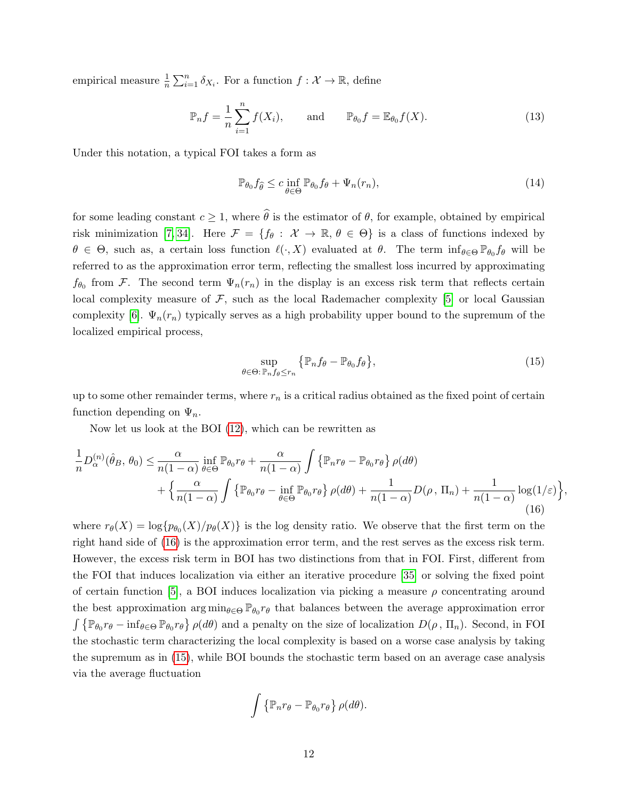empirical measure  $\frac{1}{n} \sum_{i=1}^{n} \delta_{X_i}$ . For a function  $f: \mathcal{X} \to \mathbb{R}$ , define

$$
\mathbb{P}_n f = \frac{1}{n} \sum_{i=1}^n f(X_i), \quad \text{and} \quad \mathbb{P}_{\theta_0} f = \mathbb{E}_{\theta_0} f(X). \tag{13}
$$

Under this notation, a typical FOI takes a form as

<span id="page-11-2"></span>
$$
\mathbb{P}_{\theta_0} f_{\widehat{\theta}} \le c \inf_{\theta \in \Theta} \mathbb{P}_{\theta_0} f_{\theta} + \Psi_n(r_n), \tag{14}
$$

for some leading constant  $c \geq 1$ , where  $\widehat{\theta}$  is the estimator of  $\theta$ , for example, obtained by empirical risk minimization [\[7,](#page-31-8) [34\]](#page-33-8). Here  $\mathcal{F} = \{f_\theta : \mathcal{X} \to \mathbb{R}, \theta \in \Theta\}$  is a class of functions indexed by  $\theta \in \Theta$ , such as, a certain loss function  $\ell(\cdot, X)$  evaluated at  $\theta$ . The term inf $\theta \in \Theta \mathbb{P}_{\theta_0} f_{\theta}$  will be referred to as the approximation error term, reflecting the smallest loss incurred by approximating  $f_{\theta_0}$  from F. The second term  $\Psi_n(r_n)$  in the display is an excess risk term that reflects certain local complexity measure of  $F$ , such as the local Rademacher complexity [\[5\]](#page-31-4) or local Gaussian complexity [\[6\]](#page-31-5).  $\Psi_n(r_n)$  typically serves as a high probability upper bound to the supremum of the localized empirical process,

<span id="page-11-1"></span>
$$
\sup_{\theta \in \Theta: \mathbb{P}_n f_{\theta} \le r_n} \left\{ \mathbb{P}_n f_{\theta} - \mathbb{P}_{\theta_0} f_{\theta} \right\},\tag{15}
$$

up to some other remainder terms, where  $r_n$  is a critical radius obtained as the fixed point of certain function depending on  $\Psi_n$ .

Now let us look at the BOI [\(12\)](#page-10-2), which can be rewritten as

<span id="page-11-0"></span>
$$
\frac{1}{n}D_{\alpha}^{(n)}(\hat{\theta}_{B},\theta_{0}) \leq \frac{\alpha}{n(1-\alpha)} \inf_{\theta \in \Theta} \mathbb{P}_{\theta_{0}} r_{\theta} + \frac{\alpha}{n(1-\alpha)} \int \left\{ \mathbb{P}_{n} r_{\theta} - \mathbb{P}_{\theta_{0}} r_{\theta} \right\} \rho(d\theta) + \left\{ \frac{\alpha}{n(1-\alpha)} \int \left\{ \mathbb{P}_{\theta_{0}} r_{\theta} - \inf_{\theta \in \Theta} \mathbb{P}_{\theta_{0}} r_{\theta} \right\} \rho(d\theta) + \frac{1}{n(1-\alpha)} D(\rho, \Pi_{n}) + \frac{1}{n(1-\alpha)} \log(1/\varepsilon) \right\},\tag{16}
$$

where  $r_{\theta}(X) = \log\{p_{\theta_0}(X)/p_{\theta}(X)\}\$ is the log density ratio. We observe that the first term on the right hand side of [\(16\)](#page-11-0) is the approximation error term, and the rest serves as the excess risk term. However, the excess risk term in BOI has two distinctions from that in FOI. First, different from the FOI that induces localization via either an iterative procedure [\[35\]](#page-33-12) or solving the fixed point of certain function [\[5\]](#page-31-4), a BOI induces localization via picking a measure  $\rho$  concentrating around the best approximation  $\arg \min_{\theta \in \Theta} \mathbb{P}_{\theta_0} r_{\theta}$  that balances between the average approximation error  $\int \{\mathbb{P}_{\theta_0} r_{\theta} - \inf_{\theta \in \Theta} \mathbb{P}_{\theta_0} r_{\theta}\}\rho(d\theta)$  and a penalty on the size of localization  $D(\rho, \Pi_n)$ . Second, in FOI the stochastic term characterizing the local complexity is based on a worse case analysis by taking the supremum as in [\(15\)](#page-11-1), while BOI bounds the stochastic term based on an average case analysis via the average fluctuation

$$
\int \left\{ \mathbb{P}_n r_{\theta} - \mathbb{P}_{\theta_0} r_{\theta} \right\} \rho(d\theta).
$$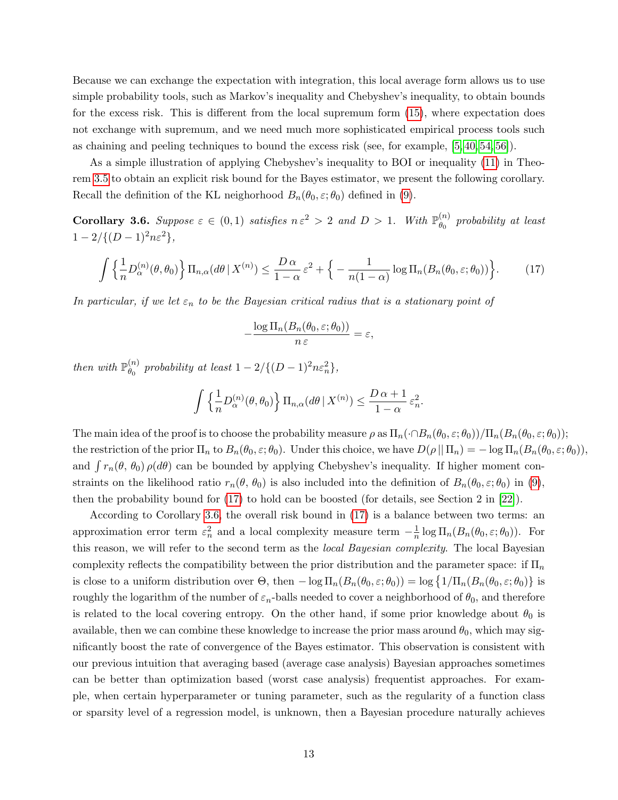Because we can exchange the expectation with integration, this local average form allows us to use simple probability tools, such as Markov's inequality and Chebyshev's inequality, to obtain bounds for the excess risk. This is different from the local supremum form [\(15\)](#page-11-1), where expectation does not exchange with supremum, and we need much more sophisticated empirical process tools such as chaining and peeling techniques to bound the excess risk (see, for example, [\[5,](#page-31-4) [40,](#page-33-10) [54,](#page-34-7) [56\]](#page-34-8)).

As a simple illustration of applying Chebyshev's inequality to BOI or inequality [\(11\)](#page-10-3) in Theorem [3.5](#page-10-1) to obtain an explicit risk bound for the Bayes estimator, we present the following corollary. Recall the definition of the KL neighorhood  $B_n(\theta_0, \varepsilon; \theta_0)$  defined in [\(9\)](#page-7-4).

<span id="page-12-1"></span>**Corollary 3.6.** Suppose  $\varepsilon \in (0,1)$  satisfies  $n \varepsilon^2 > 2$  and  $D > 1$ . With  $\mathbb{P}_{\theta_0}^{(n)}$  $\theta_0^{(n)}$  probability at least  $1 - 2/{(D-1)^2n\varepsilon^2},$ 

$$
\int \left\{ \frac{1}{n} D_{\alpha}^{(n)}(\theta, \theta_0) \right\} \Pi_{n, \alpha}(d\theta \mid X^{(n)}) \le \frac{D \alpha}{1 - \alpha} \varepsilon^2 + \left\{ - \frac{1}{n(1 - \alpha)} \log \Pi_n(B_n(\theta_0, \varepsilon; \theta_0)) \right\}.
$$
 (17)

In particular, if we let  $\varepsilon_n$  to be the Bayesian critical radius that is a stationary point of

<span id="page-12-0"></span>
$$
-\frac{\log \Pi_n(B_n(\theta_0,\varepsilon;\theta_0))}{n \,\varepsilon}=\varepsilon,
$$

then with  $\mathbb{P}_{\theta_0}^{(n)}$  $\begin{aligned} \binom{n}{\theta_0} \text{ probability at least } 1 - 2/\{(D-1)^2n\varepsilon_n^2\}, \end{aligned}$ 

$$
\int \left\{ \frac{1}{n} D_{\alpha}^{(n)}(\theta, \theta_0) \right\} \Pi_{n, \alpha}(d\theta \mid X^{(n)}) \le \frac{D \alpha + 1}{1 - \alpha} \varepsilon_n^2.
$$

The main idea of the proof is to choose the probability measure  $\rho$  as  $\Pi_n(\cdot \cap B_n(\theta_0, \varepsilon; \theta_0))/\Pi_n(B_n(\theta_0, \varepsilon; \theta_0));$ the restriction of the prior  $\Pi_n$  to  $B_n(\theta_0, \varepsilon; \theta_0)$ . Under this choice, we have  $D(\rho || \Pi_n) = -\log \Pi_n(B_n(\theta_0, \varepsilon; \theta_0))$ , and  $\int r_n(\theta, \theta_0) \rho(d\theta)$  can be bounded by applying Chebyshev's inequality. If higher moment constraints on the likelihood ratio  $r_n(\theta, \theta_0)$  is also included into the definition of  $B_n(\theta_0, \varepsilon; \theta_0)$  in [\(9\)](#page-7-4), then the probability bound for [\(17\)](#page-12-0) to hold can be boosted (for details, see Section 2 in [\[22\]](#page-32-12)).

According to Corollary [3.6,](#page-12-1) the overall risk bound in [\(17\)](#page-12-0) is a balance between two terms: an approximation error term  $\varepsilon_n^2$  and a local complexity measure term  $-\frac{1}{n}$  $\frac{1}{n} \log \Pi_n(B_n(\theta_0, \varepsilon; \theta_0)).$  For this reason, we will refer to the second term as the local Bayesian complexity. The local Bayesian complexity reflects the compatibility between the prior distribution and the parameter space: if  $\Pi_n$ is close to a uniform distribution over  $\Theta$ , then  $-\log \Pi_n(B_n(\theta_0, \varepsilon; \theta_0)) = \log \{1/\Pi_n(B_n(\theta_0, \varepsilon; \theta_0))\}$  is roughly the logarithm of the number of  $\varepsilon_n$ -balls needed to cover a neighborhood of  $\theta_0$ , and therefore is related to the local covering entropy. On the other hand, if some prior knowledge about  $\theta_0$  is available, then we can combine these knowledge to increase the prior mass around  $\theta_0$ , which may significantly boost the rate of convergence of the Bayes estimator. This observation is consistent with our previous intuition that averaging based (average case analysis) Bayesian approaches sometimes can be better than optimization based (worst case analysis) frequentist approaches. For example, when certain hyperparameter or tuning parameter, such as the regularity of a function class or sparsity level of a regression model, is unknown, then a Bayesian procedure naturally achieves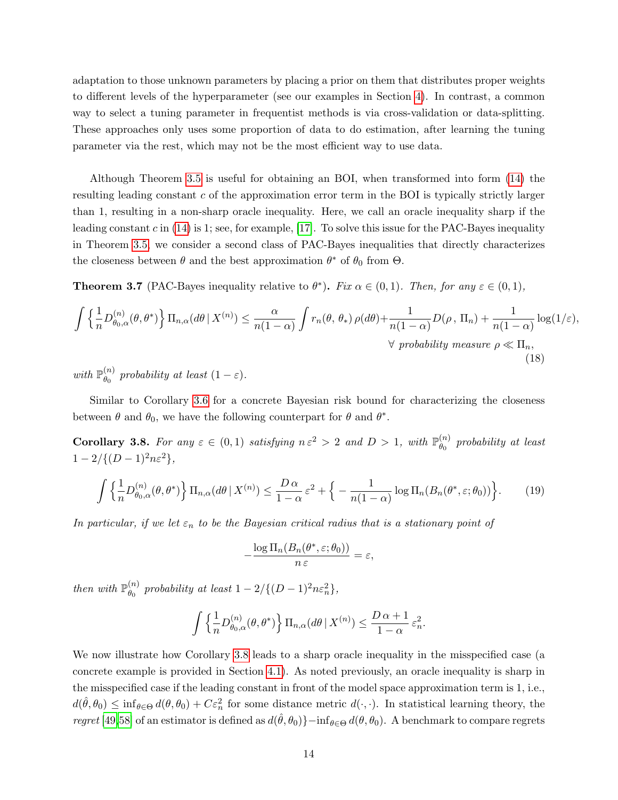adaptation to those unknown parameters by placing a prior on them that distributes proper weights to different levels of the hyperparameter (see our examples in Section [4\)](#page-15-0). In contrast, a common way to select a tuning parameter in frequentist methods is via cross-validation or data-splitting. These approaches only uses some proportion of data to do estimation, after learning the tuning parameter via the rest, which may not be the most efficient way to use data.

Although Theorem [3.5](#page-10-1) is useful for obtaining an BOI, when transformed into form [\(14\)](#page-11-2) the resulting leading constant c of the approximation error term in the BOI is typically strictly larger than 1, resulting in a non-sharp oracle inequality. Here, we call an oracle inequality sharp if the leading constant c in  $(14)$  is 1; see, for example, [\[17\]](#page-32-13). To solve this issue for the PAC-Bayes inequality in Theorem [3.5,](#page-10-1) we consider a second class of PAC-Bayes inequalities that directly characterizes the closeness between  $\theta$  and the best approximation  $\theta^*$  of  $\theta_0$  from  $\Theta$ .

<span id="page-13-1"></span>**Theorem 3.7** (PAC-Bayes inequality relative to  $\theta^*$ ). Fix  $\alpha \in (0,1)$ . Then, for any  $\varepsilon \in (0,1)$ ,

$$
\int \left\{ \frac{1}{n} D_{\theta_0,\alpha}^{(n)}(\theta,\theta^*) \right\} \Pi_{n,\alpha}(d\theta \mid X^{(n)}) \leq \frac{\alpha}{n(1-\alpha)} \int r_n(\theta,\theta_*) \rho(d\theta) + \frac{1}{n(1-\alpha)} D(\rho, \Pi_n) + \frac{1}{n(1-\alpha)} \log(1/\varepsilon),
$$
  
  $\forall \text{ probability measure } \rho \ll \Pi_n,$   
(18)

with  $\mathbb{P}_{\theta_0}^{(n)}$  $\theta_0^{(n)}$  probability at least  $(1 - \varepsilon)$ .

Similar to Corollary [3.6](#page-12-1) for a concrete Bayesian risk bound for characterizing the closeness between  $\theta$  and  $\theta_0$ , we have the following counterpart for  $\theta$  and  $\theta^*$ .

<span id="page-13-0"></span>**Corollary 3.8.** For any  $\varepsilon \in (0,1)$  satisfying  $n \varepsilon^2 > 2$  and  $D > 1$ , with  $\mathbb{P}_{\theta_0}^{(n)}$  $\stackrel{(n)}{\theta_0}$  probability at least  $1 - 2/{(D-1)^2n\varepsilon^2},$ 

$$
\int \left\{ \frac{1}{n} D_{\theta_0, \alpha}^{(n)}(\theta, \theta^*) \right\} \Pi_{n, \alpha}(d\theta \mid X^{(n)}) \le \frac{D \alpha}{1 - \alpha} \varepsilon^2 + \left\{ -\frac{1}{n(1 - \alpha)} \log \Pi_n(B_n(\theta^*, \varepsilon; \theta_0)) \right\}.
$$
 (19)

In particular, if we let  $\varepsilon_n$  to be the Bayesian critical radius that is a stationary point of

$$
-\frac{\log \Pi_n(B_n(\theta^*, \varepsilon; \theta_0))}{n \, \varepsilon} = \varepsilon,
$$

then with  $\mathbb{P}_{\theta_0}^{(n)}$  $\begin{aligned} \binom{n}{\theta_0} \text{ probability at least } 1 - 2/\{(D-1)^2n\varepsilon_n^2\}, \end{aligned}$ 

$$
\int \left\{ \frac{1}{n} D_{\theta_0,\alpha}^{(n)}(\theta,\theta^*) \right\} \Pi_{n,\alpha}(d\theta \mid X^{(n)}) \le \frac{D \alpha + 1}{1 - \alpha} \varepsilon_n^2.
$$

We now illustrate how Corollary [3.8](#page-13-0) leads to a sharp oracle inequality in the misspecified case (a concrete example is provided in Section [4.1\)](#page-16-0). As noted previously, an oracle inequality is sharp in the misspecified case if the leading constant in front of the model space approximation term is 1, i.e.,  $d(\hat{\theta}, \theta_0) \leq \inf_{\theta \in \Theta} d(\theta, \theta_0) + C \varepsilon_n^2$  for some distance metric  $d(\cdot, \cdot)$ . In statistical learning theory, the regret [\[49,](#page-34-10)[58\]](#page-34-11) of an estimator is defined as  $d(\hat{\theta}, \theta_0)\}-\inf_{\theta \in \Theta} d(\theta, \theta_0)$ . A benchmark to compare regrets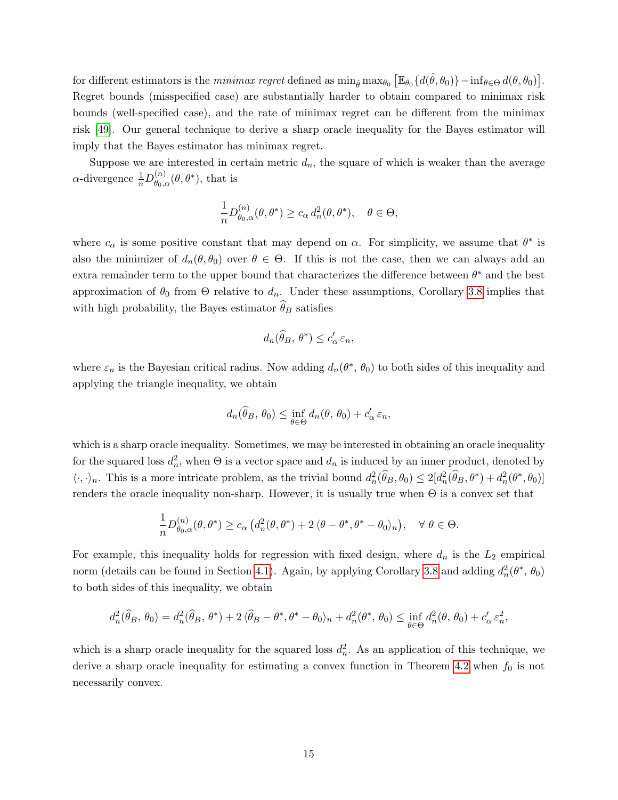for different estimators is the *minimax regret* defined as  $\min_{\hat{\theta}} \max_{\theta_0} [\mathbb{E}_{\theta_0} \{ d(\hat{\theta}, \theta_0) \} - \inf_{\theta \in \Theta} d(\theta, \theta_0) ].$ Regret bounds (misspecified case) are substantially harder to obtain compared to minimax risk bounds (well-specified case), and the rate of minimax regret can be different from the minimax risk [\[49\]](#page-34-10). Our general technique to derive a sharp oracle inequality for the Bayes estimator will imply that the Bayes estimator has minimax regret.

Suppose we are interested in certain metric  $d_n$ , the square of which is weaker than the average  $\alpha$ -divergence  $\frac{1}{n}D^{(n)}_{\theta_0,\alpha}$  $\overset{(n)}{\theta_{0,\alpha}}(\theta,\theta^*)$ , that is

$$
\frac{1}{n}D_{\theta_0,\alpha}^{(n)}(\theta,\theta^*)\geq c_{\alpha} d_n^2(\theta,\theta^*), \quad \theta\in\Theta,
$$

where  $c_{\alpha}$  is some positive constant that may depend on  $\alpha$ . For simplicity, we assume that  $\theta^*$  is also the minimizer of  $d_n(\theta, \theta_0)$  over  $\theta \in \Theta$ . If this is not the case, then we can always add an extra remainder term to the upper bound that characterizes the difference between  $\theta^*$  and the best approximation of  $\theta_0$  from  $\Theta$  relative to  $d_n$ . Under these assumptions, Corollary [3.8](#page-13-0) implies that with high probability, the Bayes estimator  $\theta_B$  satisfies

$$
d_n(\widehat{\theta}_B, \theta^*) \le c'_\alpha \, \varepsilon_n,
$$

where  $\varepsilon_n$  is the Bayesian critical radius. Now adding  $d_n(\theta^*, \theta_0)$  to both sides of this inequality and applying the triangle inequality, we obtain

$$
d_n(\widehat{\theta}_B, \theta_0) \leq \inf_{\theta \in \Theta} d_n(\theta, \theta_0) + c'_\alpha \, \varepsilon_n,
$$

which is a sharp oracle inequality. Sometimes, we may be interested in obtaining an oracle inequality for the squared loss  $d_n^2$ , when  $\Theta$  is a vector space and  $d_n$  is induced by an inner product, denoted by  $\langle \cdot, \cdot \rangle_n$ . This is a more intricate problem, as the trivial bound  $d_n^2(\hat{\theta}_B, \theta_0) \leq 2[d_n^2(\hat{\theta}_B, \theta^*) + d_n^2(\theta^*, \theta_0)]$ renders the oracle inequality non-sharp. However, it is usually true when  $\Theta$  is a convex set that

$$
\frac{1}{n} D^{(n)}_{\theta_0,\alpha}(\theta,\theta^*) \geq c_\alpha \left( d_n^2(\theta,\theta^*) + 2\left\langle \theta-\theta^*,\theta^*-\theta_0 \right\rangle_n \right), \quad \forall \ \theta \in \Theta.
$$

For example, this inequality holds for regression with fixed design, where  $d_n$  is the  $L_2$  empirical norm (details can be found in Section [4.1\)](#page-16-0). Again, by applying Corollary [3.8](#page-13-0) and adding  $d_n^2(\theta^*, \theta_0)$ to both sides of this inequality, we obtain

$$
d_n^2(\widehat{\theta}_B, \theta_0) = d_n^2(\widehat{\theta}_B, \theta^*) + 2\langle \widehat{\theta}_B - \theta^*, \theta^* - \theta_0 \rangle_n + d_n^2(\theta^*, \theta_0) \le \inf_{\theta \in \Theta} d_n^2(\theta, \theta_0) + c_\alpha' \varepsilon_n^2,
$$

which is a sharp oracle inequality for the squared loss  $d_n^2$ . As an application of this technique, we derive a sharp oracle inequality for estimating a convex function in Theorem [4.2](#page-18-0) when  $f_0$  is not necessarily convex.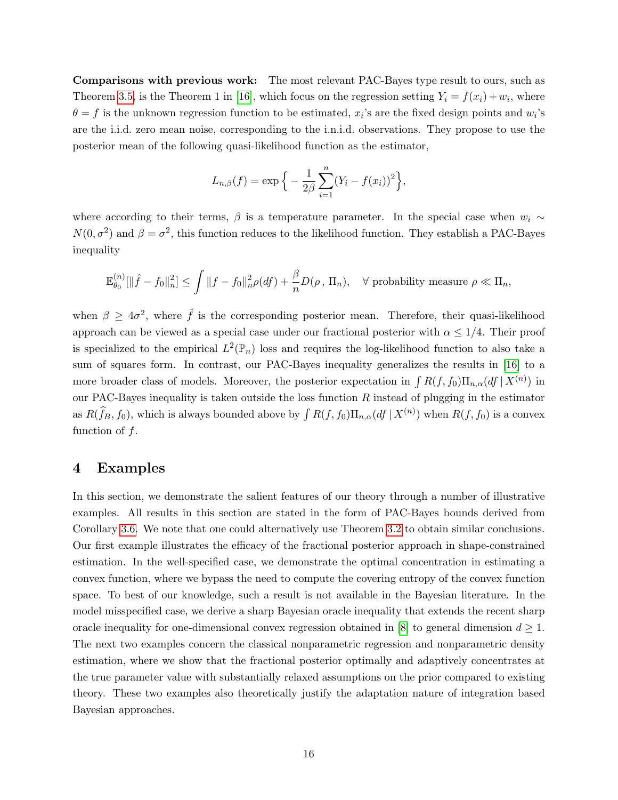Comparisons with previous work: The most relevant PAC-Bayes type result to ours, such as Theorem [3.5,](#page-10-1) is the Theorem 1 in [\[16\]](#page-32-8), which focus on the regression setting  $Y_i = f(x_i) + w_i$ , where  $\theta = f$  is the unknown regression function to be estimated,  $x_i$ 's are the fixed design points and  $w_i$ 's are the i.i.d. zero mean noise, corresponding to the i.n.i.d. observations. They propose to use the posterior mean of the following quasi-likelihood function as the estimator,

$$
L_{n,\beta}(f) = \exp \left\{-\frac{1}{2\beta} \sum_{i=1}^{n} (Y_i - f(x_i))^2\right\},\,
$$

where according to their terms,  $\beta$  is a temperature parameter. In the special case when  $w_i \sim$  $N(0, \sigma^2)$  and  $\beta = \sigma^2$ , this function reduces to the likelihood function. They establish a PAC-Bayes inequality

$$
\mathbb{E}_{\theta_0}^{(n)}[\|\hat{f}-f_0\|_n^2] \le \int \|f-f_0\|_n^2 \rho(df) + \frac{\beta}{n} D(\rho, \Pi_n), \quad \forall \text{ probability measure } \rho \ll \Pi_n,
$$

when  $\beta \geq 4\sigma^2$ , where  $\hat{f}$  is the corresponding posterior mean. Therefore, their quasi-likelihood approach can be viewed as a special case under our fractional posterior with  $\alpha \leq 1/4$ . Their proof is specialized to the empirical  $L^2(\mathbb{P}_n)$  loss and requires the log-likelihood function to also take a sum of squares form. In contrast, our PAC-Bayes inequality generalizes the results in [\[16\]](#page-32-8) to a more broader class of models. Moreover, the posterior expectation in  $\int R(f, f_0) \Pi_{n,\alpha}(df | X^{(n)})$  in our PAC-Bayes inequality is taken outside the loss function  $R$  instead of plugging in the estimator as  $R(\hat{f}_B, f_0)$ , which is always bounded above by  $\int R(f, f_0) \Pi_{n,\alpha}(df | X^{(n)})$  when  $R(f, f_0)$  is a convex function of  $f$ .

## <span id="page-15-0"></span>4 Examples

In this section, we demonstrate the salient features of our theory through a number of illustrative examples. All results in this section are stated in the form of PAC-Bayes bounds derived from Corollary [3.6.](#page-12-1) We note that one could alternatively use Theorem [3.2](#page-7-1) to obtain similar conclusions. Our first example illustrates the efficacy of the fractional posterior approach in shape-constrained estimation. In the well-specified case, we demonstrate the optimal concentration in estimating a convex function, where we bypass the need to compute the covering entropy of the convex function space. To best of our knowledge, such a result is not available in the Bayesian literature. In the model misspecified case, we derive a sharp Bayesian oracle inequality that extends the recent sharp oracle inequality for one-dimensional convex regression obtained in  $[8]$  to general dimension  $d \geq 1$ . The next two examples concern the classical nonparametric regression and nonparametric density estimation, where we show that the fractional posterior optimally and adaptively concentrates at the true parameter value with substantially relaxed assumptions on the prior compared to existing theory. These two examples also theoretically justify the adaptation nature of integration based Bayesian approaches.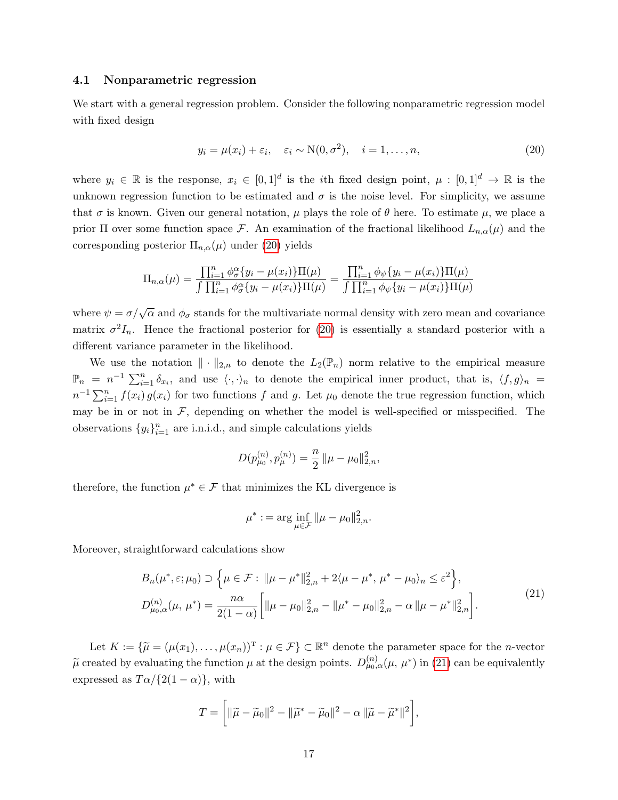## <span id="page-16-0"></span>4.1 Nonparametric regression

We start with a general regression problem. Consider the following nonparametric regression model with fixed design

<span id="page-16-1"></span>
$$
y_i = \mu(x_i) + \varepsilon_i, \quad \varepsilon_i \sim \mathcal{N}(0, \sigma^2), \quad i = 1, \dots, n,
$$
\n
$$
(20)
$$

where  $y_i \in \mathbb{R}$  is the response,  $x_i \in [0,1]^d$  is the *i*th fixed design point,  $\mu : [0,1]^d \to \mathbb{R}$  is the unknown regression function to be estimated and  $\sigma$  is the noise level. For simplicity, we assume that  $\sigma$  is known. Given our general notation,  $\mu$  plays the role of  $\theta$  here. To estimate  $\mu$ , we place a prior  $\Pi$  over some function space F. An examination of the fractional likelihood  $L_{n,\alpha}(\mu)$  and the corresponding posterior  $\Pi_{n,\alpha}(\mu)$  under [\(20\)](#page-16-1) yields

$$
\Pi_{n,\alpha}(\mu) = \frac{\prod_{i=1}^{n} \phi_{\sigma}^{\alpha} \{y_i - \mu(x_i)\} \Pi(\mu)}{\int \prod_{i=1}^{n} \phi_{\sigma}^{\alpha} \{y_i - \mu(x_i)\} \Pi(\mu)} = \frac{\prod_{i=1}^{n} \phi_{\psi} \{y_i - \mu(x_i)\} \Pi(\mu)}{\int \prod_{i=1}^{n} \phi_{\psi} \{y_i - \mu(x_i)\} \Pi(\mu)}
$$

where  $\psi = \sigma/\sqrt{\alpha}$  and  $\phi_{\sigma}$  stands for the multivariate normal density with zero mean and covariance matrix  $\sigma^2 I_n$ . Hence the fractional posterior for [\(20\)](#page-16-1) is essentially a standard posterior with a different variance parameter in the likelihood.

We use the notation  $\|\cdot\|_{2,n}$  to denote the  $L_2(\mathbb{P}_n)$  norm relative to the empirical measure  $\mathbb{P}_n = n^{-1} \sum_{i=1}^n \delta_{x_i}$ , and use  $\langle \cdot, \cdot \rangle_n$  to denote the empirical inner product, that is,  $\langle f, g \rangle_n =$  $n^{-1}\sum_{i=1}^{n} f(x_i) g(x_i)$  for two functions f and g. Let  $\mu_0$  denote the true regression function, which may be in or not in  $F$ , depending on whether the model is well-specified or misspecified. The observations  $\{y_i\}_{i=1}^n$  are i.n.i.d., and simple calculations yields

$$
D(p_{\mu_0}^{(n)}, p_{\mu}^{(n)}) = \frac{n}{2} ||\mu - \mu_0||_{2,n}^2,
$$

therefore, the function  $\mu^* \in \mathcal{F}$  that minimizes the KL divergence is

$$
\mu^* := \arg\inf_{\mu \in \mathcal{F}} \|\mu - \mu_0\|_{2,n}^2.
$$

Moreover, straightforward calculations show

<span id="page-16-2"></span>
$$
B_n(\mu^*, \varepsilon; \mu_0) \supset \left\{ \mu \in \mathcal{F} : \|\mu - \mu^*\|_{2,n}^2 + 2\langle \mu - \mu^*, \mu^* - \mu_0 \rangle_n \le \varepsilon^2 \right\},
$$
  

$$
D_{\mu_0,\alpha}^{(n)}(\mu, \mu^*) = \frac{n\alpha}{2(1-\alpha)} \left[ \|\mu - \mu_0\|_{2,n}^2 - \|\mu^* - \mu_0\|_{2,n}^2 - \alpha \|\mu - \mu^*\|_{2,n}^2 \right].
$$
 (21)

Let  $K := \{\widetilde{\mu} = (\mu(x_1), \dots, \mu(x_n))^T : \mu \in \mathcal{F}\} \subset \mathbb{R}^n$  denote the parameter space for the *n*-vector  $\tilde{\mu}$  created by evaluating the function  $\mu$  at the design points.  $D_{\mu_0,\alpha}^{(n)}(\mu, \mu^*)$  in [\(21\)](#page-16-2) can be equivalently expressed as  $T\alpha/\{2(1-\alpha)\}\,$ , with

$$
T = \left[ \|\widetilde{\mu} - \widetilde{\mu}_0\|^2 - \|\widetilde{\mu}^* - \widetilde{\mu}_0\|^2 - \alpha \|\widetilde{\mu} - \widetilde{\mu}^*\|^2 \right],
$$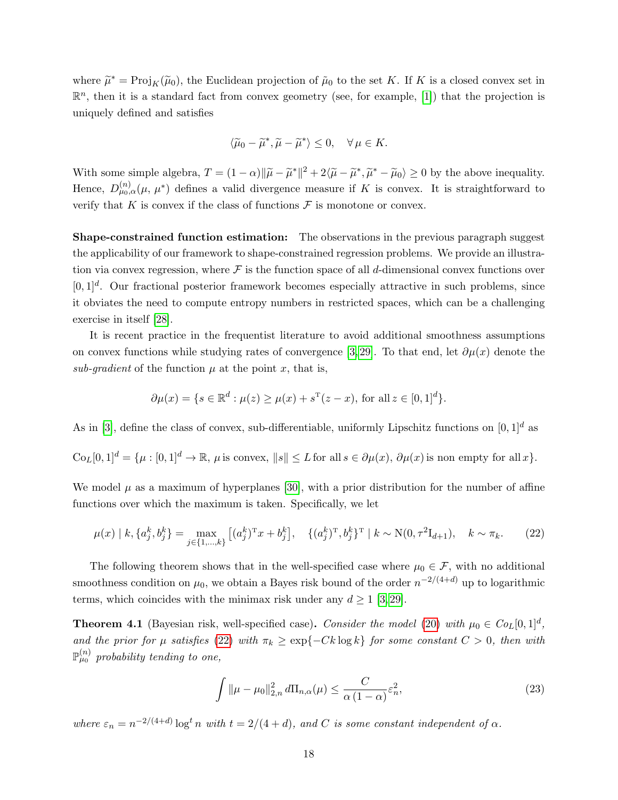where  $\widetilde{\mu}^* = \text{Proj}_K(\widetilde{\mu}_0)$ , the Euclidean projection of  $\widetilde{\mu}_0$  to the set K. If K is a closed convex set in  $\mathbb{R}^n$ , then it is a standard fact from convex geometry (see, for example, [\[1\]](#page-31-9)) that the projection is uniquely defined and satisfies

$$
\langle \widetilde{\mu}_0 - \widetilde{\mu}^*, \widetilde{\mu} - \widetilde{\mu}^* \rangle \le 0, \quad \forall \mu \in K.
$$

With some simple algebra,  $T = (1 - \alpha) \|\tilde{\mu} - \tilde{\mu}^*\|^2 + 2\langle \tilde{\mu} - \tilde{\mu}^*, \tilde{\mu}^* - \tilde{\mu}_0 \rangle \ge 0$  by the above inequality. Hence,  $D_{\mu_0,\alpha}^{(n)}(\mu,\mu^*)$  defines a valid divergence measure if K is convex. It is straightforward to verify that K is convex if the class of functions  $\mathcal F$  is monotone or convex.

Shape-constrained function estimation: The observations in the previous paragraph suggest the applicability of our framework to shape-constrained regression problems. We provide an illustration via convex regression, where  $\mathcal F$  is the function space of all d-dimensional convex functions over  $[0,1]^d$ . Our fractional posterior framework becomes especially attractive in such problems, since it obviates the need to compute entropy numbers in restricted spaces, which can be a challenging exercise in itself [\[28\]](#page-33-5).

It is recent practice in the frequentist literature to avoid additional smoothness assumptions on convex functions while studying rates of convergence [\[3,](#page-31-10) [29\]](#page-33-13). To that end, let  $\partial \mu(x)$  denote the sub-gradient of the function  $\mu$  at the point x, that is,

$$
\partial \mu(x) = \{ s \in \mathbb{R}^d : \mu(z) \ge \mu(x) + s^{\mathrm{T}}(z - x), \text{ for all } z \in [0, 1]^d \}.
$$

As in [\[3\]](#page-31-10), define the class of convex, sub-differentiable, uniformly Lipschitz functions on  $[0, 1]^d$  as

$$
C_{0L}[0,1]^d = \{\mu : [0,1]^d \to \mathbb{R}, \mu \text{ is convex}, ||s|| \le L \text{ for all } s \in \partial \mu(x), \partial \mu(x) \text{ is non empty for all } x\}.
$$

We model  $\mu$  as a maximum of hyperplanes [\[30\]](#page-33-14), with a prior distribution for the number of affine functions over which the maximum is taken. Specifically, we let

<span id="page-17-0"></span>
$$
\mu(x) \mid k, \{a_j^k, b_j^k\} = \max_{j \in \{1, \dots, k\}} \left[ (a_j^k)^{\mathrm{T}} x + b_j^k \right], \quad \{(a_j^k)^{\mathrm{T}}, b_j^k\}^{\mathrm{T}} \mid k \sim \mathrm{N}(0, \tau^2 \mathrm{I}_{d+1}), \quad k \sim \pi_k. \tag{22}
$$

The following theorem shows that in the well-specified case where  $\mu_0 \in \mathcal{F}$ , with no additional smoothness condition on  $\mu_0$ , we obtain a Bayes risk bound of the order  $n^{-2/(4+d)}$  up to logarithmic terms, which coincides with the minimax risk under any  $d \geq 1$  [\[3,](#page-31-10)29].

<span id="page-17-1"></span>**Theorem 4.1** (Bayesian risk, well-specified case). Consider the model [\(20\)](#page-16-1) with  $\mu_0 \in CoL[0,1]^d$ , and the prior for  $\mu$  satisfies [\(22\)](#page-17-0) with  $\pi_k \geq \exp\{-Ck \log k\}$  for some constant  $C > 0$ , then with  $\mathbb{P}^{(n)}_{\mu_0}$  probability tending to one,

$$
\int \|\mu - \mu_0\|_{2,n}^2 d\Pi_{n,\alpha}(\mu) \le \frac{C}{\alpha (1-\alpha)} \varepsilon_n^2,\tag{23}
$$

where  $\varepsilon_n = n^{-2/(4+d)} \log^t n$  with  $t = 2/(4+d)$ , and C is some constant independent of  $\alpha$ .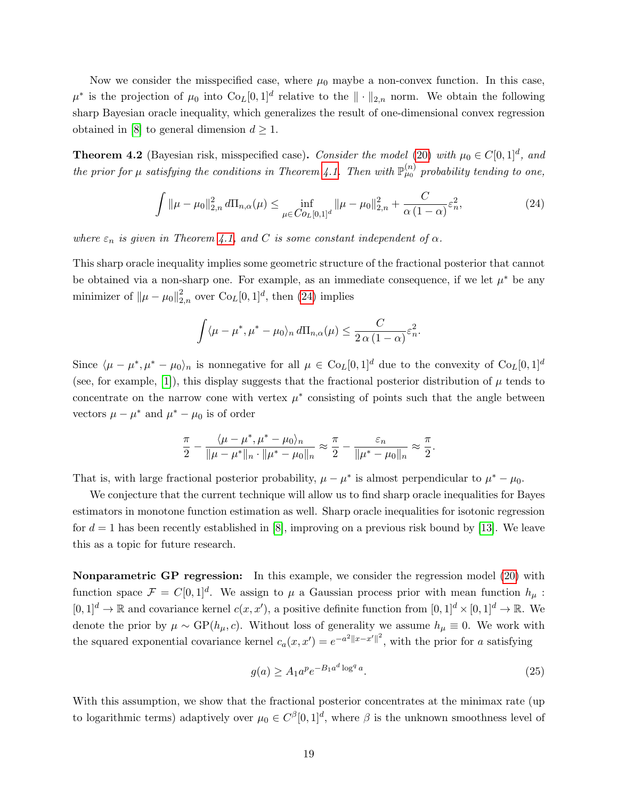Now we consider the misspecified case, where  $\mu_0$  maybe a non-convex function. In this case,  $\mu^*$  is the projection of  $\mu_0$  into  $\text{Co}_L[0,1]^d$  relative to the  $\|\cdot\|_{2,n}$  norm. We obtain the following sharp Bayesian oracle inequality, which generalizes the result of one-dimensional convex regression obtained in [\[8\]](#page-31-6) to general dimension  $d \geq 1$ .

<span id="page-18-0"></span>**Theorem 4.2** (Bayesian risk, misspecified case). Consider the model [\(20\)](#page-16-1) with  $\mu_0 \in C[0,1]^d$ , and the prior for  $\mu$  satisfying the conditions in Theorem [4.1.](#page-17-1) Then with  $\mathbb{P}^{(n)}_{\mu_0}$  probability tending to one,

$$
\int \|\mu - \mu_0\|_{2,n}^2 d\Pi_{n,\alpha}(\mu) \le \inf_{\mu \in C_{O_L}[0,1]^d} \|\mu - \mu_0\|_{2,n}^2 + \frac{C}{\alpha(1-\alpha)} \varepsilon_n^2,\tag{24}
$$

where  $\varepsilon_n$  is given in Theorem [4.1,](#page-17-1) and C is some constant independent of  $\alpha$ .

This sharp oracle inequality implies some geometric structure of the fractional posterior that cannot be obtained via a non-sharp one. For example, as an immediate consequence, if we let  $\mu^*$  be any minimizer of  $\|\mu - \mu_0\|_{2,n}^2$  over  $\text{Co}_L[0,1]^d$ , then [\(24\)](#page-18-1) implies

<span id="page-18-1"></span>
$$
\int \langle \mu - \mu^*, \mu^* - \mu_0 \rangle_n d\Pi_{n,\alpha}(\mu) \leq \frac{C}{2\alpha (1-\alpha)} \varepsilon_n^2.
$$

Since  $\langle \mu - \mu^*, \mu^* - \mu_0 \rangle_n$  is nonnegative for all  $\mu \in \text{Co}_L[0,1]^d$  due to the convexity of  $\text{Co}_L[0,1]^d$ (see, for example, [\[1\]](#page-31-9)), this display suggests that the fractional posterior distribution of  $\mu$  tends to concentrate on the narrow cone with vertex  $\mu^*$  consisting of points such that the angle between vectors  $\mu - \mu^*$  and  $\mu^* - \mu_0$  is of order

$$
\frac{\pi}{2}-\frac{\langle\mu-\mu^*,\mu^*-\mu_0\rangle_n}{\|\mu-\mu^*\|_n\cdot\|\mu^*-\mu_0\|_n}\approx\frac{\pi}{2}-\frac{\varepsilon_n}{\|\mu^*-\mu_0\|_n}\approx\frac{\pi}{2}.
$$

That is, with large fractional posterior probability,  $\mu - \mu^*$  is almost perpendicular to  $\mu^* - \mu_0$ .

We conjecture that the current technique will allow us to find sharp oracle inequalities for Bayes estimators in monotone function estimation as well. Sharp oracle inequalities for isotonic regression for  $d = 1$  has been recently established in [\[8\]](#page-31-6), improving on a previous risk bound by [\[13\]](#page-32-14). We leave this as a topic for future research.

Nonparametric GP regression: In this example, we consider the regression model [\(20\)](#page-16-1) with function space  $\mathcal{F} = C[0,1]^d$ . We assign to  $\mu$  a Gaussian process prior with mean function  $h_{\mu}$ :  $[0,1]^d \to \mathbb{R}$  and covariance kernel  $c(x, x')$ , a positive definite function from  $[0, 1]^d \times [0, 1]^d \to \mathbb{R}$ . We denote the prior by  $\mu \sim GP(h_{\mu}, c)$ . Without loss of generality we assume  $h_{\mu} \equiv 0$ . We work with the squared exponential covariance kernel  $c_a(x, x') = e^{-a^2 ||x - x'||^2}$ , with the prior for a satisfying

<span id="page-18-2"></span>
$$
g(a) \ge A_1 a^p e^{-B_1 a^d \log^q a}.
$$
\n(25)

With this assumption, we show that the fractional posterior concentrates at the minimax rate (up) to logarithmic terms) adaptively over  $\mu_0 \in C^{\beta}[0,1]^d$ , where  $\beta$  is the unknown smoothness level of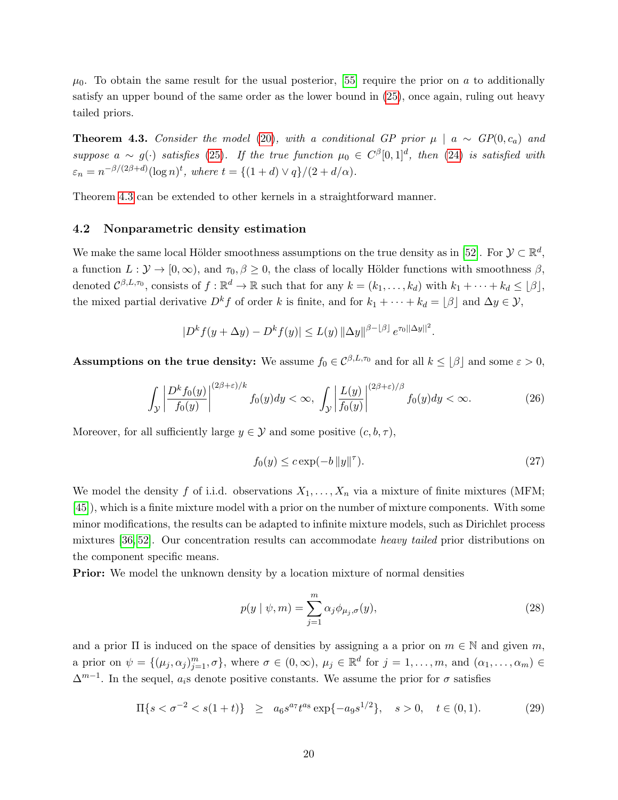$\mu_0$ . To obtain the same result for the usual posterior, [\[55\]](#page-34-12) require the prior on a to additionally satisfy an upper bound of the same order as the lower bound in [\(25\)](#page-18-2), once again, ruling out heavy tailed priors.

<span id="page-19-0"></span>**Theorem 4.3.** Consider the model [\(20\)](#page-16-1), with a conditional GP prior  $\mu \mid a \sim GP(0, c_a)$  and suppose  $a \sim g(\cdot)$  satisfies [\(25\)](#page-18-2). If the true function  $\mu_0 \in C^{\beta}[0,1]^d$ , then [\(24\)](#page-18-1) is satisfied with  $\varepsilon_n = n^{-\beta/(2\beta+d)}(\log n)^t$ , where  $t = \{(1+d) \vee q\}/(2+d/\alpha)$ .

Theorem [4.3](#page-19-0) can be extended to other kernels in a straightforward manner.

#### 4.2 Nonparametric density estimation

We make the same local Hölder smoothness assumptions on the true density as in [\[52\]](#page-34-13). For  $\mathcal{Y} \subset \mathbb{R}^d$ , a function  $L: \mathcal{Y} \to [0, \infty)$ , and  $\tau_0, \beta \geq 0$ , the class of locally Hölder functions with smoothness  $\beta$ , denoted  $\mathcal{C}^{\beta,L,\tau_0}$ , consists of  $f : \mathbb{R}^d \to \mathbb{R}$  such that for any  $k = (k_1,\ldots,k_d)$  with  $k_1 + \cdots + k_d \leq \lfloor \beta \rfloor$ , the mixed partial derivative  $D^k f$  of order k is finite, and for  $k_1 + \cdots + k_d = \lfloor \beta \rfloor$  and  $\Delta y \in \mathcal{Y}$ ,

$$
|D^{k} f(y + \Delta y) - D^{k} f(y)| \le L(y) \|\Delta y\|^{\beta - |\beta|} e^{\tau_0 ||\Delta y||^2}
$$

**Assumptions on the true density:** We assume  $f_0 \in C^{\beta, L, \tau_0}$  and for all  $k \leq |\beta|$  and some  $\varepsilon > 0$ ,

<span id="page-19-1"></span>
$$
\int_{\mathcal{Y}} \left| \frac{D^k f_0(y)}{f_0(y)} \right|^{(2\beta + \varepsilon)/k} f_0(y) dy < \infty, \int_{\mathcal{Y}} \left| \frac{L(y)}{f_0(y)} \right|^{(2\beta + \varepsilon)/\beta} f_0(y) dy < \infty. \tag{26}
$$

Moreover, for all sufficiently large  $y \in \mathcal{Y}$  and some positive  $(c, b, \tau)$ ,

<span id="page-19-2"></span>
$$
f_0(y) \le c \exp(-b \left\|y\right\|^{\tau}).\tag{27}
$$

.

We model the density f of i.i.d. observations  $X_1, \ldots, X_n$  via a mixture of finite mixtures (MFM; [\[45\]](#page-34-14)), which is a finite mixture model with a prior on the number of mixture components. With some minor modifications, the results can be adapted to infinite mixture models, such as Dirichlet process mixtures [\[36,](#page-33-15) [52\]](#page-34-13). Our concentration results can accommodate heavy tailed prior distributions on the component specific means.

**Prior:** We model the unknown density by a location mixture of normal densities

$$
p(y \mid \psi, m) = \sum_{j=1}^{m} \alpha_j \phi_{\mu_j, \sigma}(y), \qquad (28)
$$

and a prior  $\Pi$  is induced on the space of densities by assigning a a prior on  $m \in \mathbb{N}$  and given m, a prior on  $\psi = \{(\mu_j, \alpha_j)_{j=1}^m, \sigma\}$ , where  $\sigma \in (0, \infty)$ ,  $\mu_j \in \mathbb{R}^d$  for  $j = 1, \ldots, m$ , and  $(\alpha_1, \ldots, \alpha_m) \in$  $\Delta^{m-1}$ . In the sequel,  $a_i$ s denote positive constants. We assume the prior for  $\sigma$  satisfies

<span id="page-19-3"></span>
$$
\Pi\{s < \sigma^{-2} < s(1+t)\} \ge a_6 s^{a_7} t^{a_8} \exp\{-a_9 s^{1/2}\}, \quad s > 0, \quad t \in (0,1). \tag{29}
$$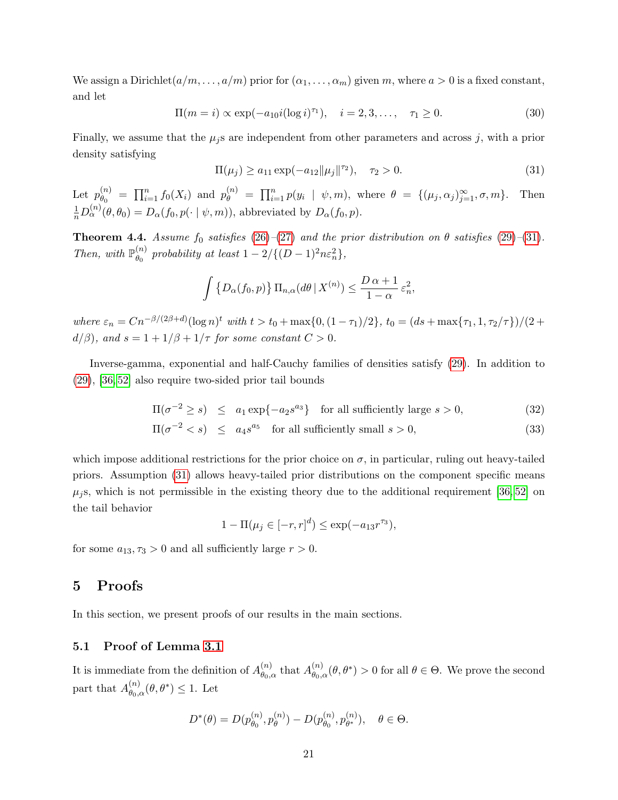We assign a Dirichlet $(a/m, \ldots, a/m)$  prior for  $(\alpha_1, \ldots, \alpha_m)$  given m, where  $a > 0$  is a fixed constant, and let

<span id="page-20-3"></span>
$$
\Pi(m = i) \propto \exp(-a_{10}i(\log i)^{\tau_1}), \quad i = 2, 3, ..., \quad \tau_1 \ge 0.
$$
 (30)

Finally, we assume that the  $\mu_j$ s are independent from other parameters and across j, with a prior density satisfying

<span id="page-20-1"></span>
$$
\Pi(\mu_j) \ge a_{11} \exp(-a_{12} ||\mu_j||^{\tau_2}), \quad \tau_2 > 0.
$$
\n(31)

Let  $p_{\theta_0}^{(n)}$  $\mathcal{L}_{\theta_0}^{(n)} = \prod_{i=1}^n f_0(X_i)$  and  $p_{\theta}^{(n)} = \prod_{i=1}^n p(y_i | \psi, m)$ , where  $\theta = \{(\mu_j, \alpha_j)_{j=1}^{\infty}, \sigma, m\}$ . Then  $\frac{1}{n}D_{\alpha}^{(n)}(\theta,\theta_0)=D_{\alpha}(f_0,p(\cdot\mid \psi,m)),$  abbreviated by  $D_{\alpha}(f_0,p)$ .

<span id="page-20-2"></span>**Theorem 4.4.** Assume  $f_0$  satisfies [\(26\)](#page-19-1)–[\(27\)](#page-19-2) and the prior distribution on  $\theta$  satisfies [\(29\)](#page-19-3)–[\(31\)](#page-20-1). Then, with  $\mathbb{P}_{\theta_0}^{(n)}$  $\begin{aligned} \binom{n}{\theta_0} \text{ probability at least } 1 - 2/\{(D-1)^2n\varepsilon_n^2\}, \end{aligned}$ 

$$
\int \left\{ D_{\alpha}(f_0, p) \right\} \Pi_{n, \alpha}(d\theta \mid X^{(n)}) \le \frac{D \alpha + 1}{1 - \alpha} \varepsilon_n^2,
$$

where  $\varepsilon_n = Cn^{-\beta/(2\beta+d)}(\log n)^t$  with  $t > t_0 + \max\{0, (1-\tau_1)/2\}$ ,  $t_0 = (ds + \max\{\tau_1, 1, \tau_2/\tau\})/(2 +$  $d/\beta$ , and  $s = 1 + 1/\beta + 1/\tau$  for some constant  $C > 0$ .

Inverse-gamma, exponential and half-Cauchy families of densities satisfy [\(29\)](#page-19-3). In addition to [\(29\)](#page-19-3), [\[36,](#page-33-15) [52\]](#page-34-13) also require two-sided prior tail bounds

$$
\Pi(\sigma^{-2} \ge s) \le a_1 \exp\{-a_2 s^{a_3}\} \text{ for all sufficiently large } s > 0,
$$
\n(32)

$$
\Pi(\sigma^{-2} < s) \le a_4 s^{a_5} \quad \text{for all sufficiently small } s > 0,\tag{33}
$$

which impose additional restrictions for the prior choice on  $\sigma$ , in particular, ruling out heavy-tailed priors. Assumption [\(31\)](#page-20-1) allows heavy-tailed prior distributions on the component specific means  $\mu_i$ , which is not permissible in the existing theory due to the additional requirement [\[36,](#page-33-15) [52\]](#page-34-13) on the tail behavior

$$
1 - \Pi(\mu_j \in [-r, r]^d) \le \exp(-a_{13}r^{\tau_3}),
$$

for some  $a_{13}, \tau_3 > 0$  and all sufficiently large  $r > 0$ .

## <span id="page-20-0"></span>5 Proofs

In this section, we present proofs of our results in the main sections.

## 5.1 Proof of Lemma [3.1](#page-6-1)

It is immediate from the definition of  $A_{\theta_{\alpha}}^{(n)}$  $\theta_{0,\alpha}^{(n)}$  that  $A_{\theta_{0},\alpha}^{(n)}$  $\theta_{\theta_0,\alpha}^{(n)}(\theta,\theta^*) > 0$  for all  $\theta \in \Theta$ . We prove the second part that  $A_{\theta_0}^{(n)}$  $\theta_{0,\alpha}^{(n)}(\theta,\theta^*) \leq 1.$  Let

$$
D^*(\theta) = D(p_{\theta_0}^{(n)}, p_{\theta}^{(n)}) - D(p_{\theta_0}^{(n)}, p_{\theta^*}^{(n)}), \quad \theta \in \Theta.
$$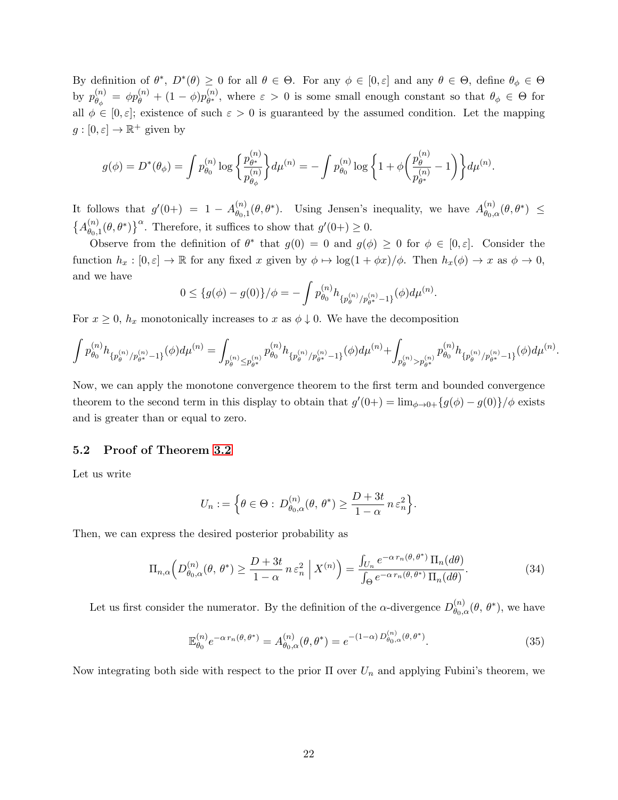By definition of  $\theta^*, D^*(\theta) \geq 0$  for all  $\theta \in \Theta$ . For any  $\phi \in [0, \varepsilon]$  and any  $\theta \in \Theta$ , define  $\theta_\phi \in \Theta$ by  $p_{\theta}^{(n)}$  $\overset{(n)}{\theta_\phi} \; = \; \phi p_\theta^{(n)} \, + \, (1-\phi) p_{\theta^*}^{(n)}$  $\theta_{\theta^*}^{(n)}$ , where  $\varepsilon > 0$  is some small enough constant so that  $\theta_{\phi} \in \Theta$  for all  $\phi \in [0, \varepsilon]$ ; existence of such  $\varepsilon > 0$  is guaranteed by the assumed condition. Let the mapping  $g: [0, \varepsilon] \to \mathbb{R}^+$  given by

$$
g(\phi) = D^*(\theta_{\phi}) = \int p_{\theta_0}^{(n)} \log \left\{ \frac{p_{\theta^*}^{(n)}}{p_{\theta_{\phi}}^{(n)}} \right\} d\mu^{(n)} = -\int p_{\theta_0}^{(n)} \log \left\{ 1 + \phi \left( \frac{p_{\theta}^{(n)}}{p_{\theta^*}^{(n)}} - 1 \right) \right\} d\mu^{(n)}.
$$

It follows that  $g'(0+) = 1 - A_{\theta_0}^{(n)}$  $\theta_{\theta_0,1}^{(n)}(\theta,\theta^*)$ . Using Jensen's inequality, we have  $A_{\theta_0,\theta_0}^{(n)}$  $\overset{(n)}{\theta_{0,\alpha}}(\theta,\theta^*) \,\,\leq \,\,$  $\{A_{\theta_{0}}^{(n)}\}$  $\left\{\theta_{0,1}^{(n)}(\theta,\theta^*)\right\}^{\alpha}$ . Therefore, it suffices to show that  $g'(0+) \geq 0$ .

Observe from the definition of  $\theta^*$  that  $g(0) = 0$  and  $g(\phi) \geq 0$  for  $\phi \in [0, \varepsilon]$ . Consider the function  $h_x : [0, \varepsilon] \to \mathbb{R}$  for any fixed x given by  $\phi \mapsto \log(1 + \phi x)/\phi$ . Then  $h_x(\phi) \to x$  as  $\phi \to 0$ , and we have

$$
0 \leq \{g(\phi) - g(0)\}/\phi = -\int p_{\theta_0}^{(n)} h_{\{p_{\theta}^{(n)}/p_{\theta^*}^{(n)} - 1\}}(\phi) d\mu^{(n)}.
$$

For  $x \geq 0$ ,  $h_x$  monotonically increases to x as  $\phi \downarrow 0$ . We have the decomposition

$$
\int p_{\theta_0}^{(n)} h_{\{p_{\theta}^{(n)} / p_{\theta^*}^{(n)} = 1\}}(\phi) d\mu^{(n)} = \int_{p_{\theta}^{(n)} \leq p_{\theta^*}^{(n)}} p_{\theta_0}^{(n)} h_{\{p_{\theta}^{(n)} / p_{\theta^*}^{(n)} = 1\}}(\phi) d\mu^{(n)} + \int_{p_{\theta}^{(n)} > p_{\theta^*}^{(n)}} p_{\theta_0}^{(n)} h_{\{p_{\theta}^{(n)} / p_{\theta^*}^{(n)} = 1\}}(\phi) d\mu^{(n)}.
$$

Now, we can apply the monotone convergence theorem to the first term and bounded convergence theorem to the second term in this display to obtain that  $g'(0+) = \lim_{\phi \to 0+} \{g(\phi) - g(0)\}/\phi$  exists and is greater than or equal to zero.

#### 5.2 Proof of Theorem [3.2](#page-7-1)

Let us write

<span id="page-21-0"></span>
$$
U_n := \left\{ \theta \in \Theta : \, D_{\theta_0, \alpha}^{(n)}(\theta, \, \theta^*) \ge \frac{D + 3t}{1 - \alpha} \, n \, \varepsilon_n^2 \right\}.
$$

Then, we can express the desired posterior probability as

$$
\Pi_{n,\alpha}\left(D_{\theta_0,\alpha}^{(n)}(\theta,\,\theta^*)\geq\frac{D+3t}{1-\alpha}\,n\,\varepsilon_n^2\;\Big|\;X^{(n)}\right)=\frac{\int_{U_n}e^{-\alpha\,r_n(\theta,\,\theta^*)}\,\Pi_n(d\theta)}{\int_{\Theta}e^{-\alpha\,r_n(\theta,\,\theta^*)}\,\Pi_n(d\theta)}.\tag{34}
$$

Let us first consider the numerator. By the definition of the  $\alpha$ -divergence  $D_{\theta_{\alpha}}^{(n)}$  $\overset{(n)}{\theta_{0,\alpha}}(\theta, \theta^*)$ , we have

<span id="page-21-1"></span>
$$
\mathbb{E}_{\theta_0}^{(n)} e^{-\alpha \, r_n(\theta, \theta^*)} = A_{\theta_0, \alpha}^{(n)}(\theta, \theta^*) = e^{-(1-\alpha) \, D_{\theta_0, \alpha}^{(n)}(\theta, \theta^*)}.
$$
\n(35)

Now integrating both side with respect to the prior  $\Pi$  over  $U_n$  and applying Fubini's theorem, we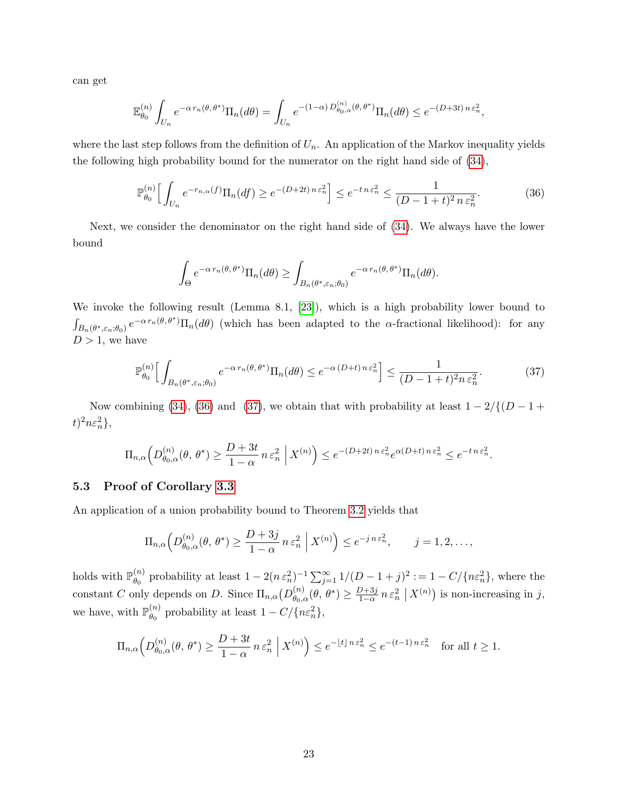can get

$$
\mathbb{E}_{\theta_0}^{(n)} \int_{U_n} e^{-\alpha \, r_n(\theta, \theta^*)} \Pi_n(d\theta) = \int_{U_n} e^{-(1-\alpha) \, D_{\theta_0, \alpha}^{(n)}(\theta, \theta^*)} \Pi_n(d\theta) \le e^{-(D+3t) \, n \, \varepsilon_n^2},
$$

where the last step follows from the definition of  $U_n$ . An application of the Markov inequality yields the following high probability bound for the numerator on the right hand side of [\(34\)](#page-21-0),

$$
\mathbb{P}_{\theta_0}^{(n)} \Big[ \int_{U_n} e^{-r_{n,\alpha}(f)} \Pi_n(df) \ge e^{-(D+2t) n \varepsilon_n^2} \Big] \le e^{-t n \varepsilon_n^2} \le \frac{1}{(D-1+t)^2 n \varepsilon_n^2}.
$$
 (36)

Next, we consider the denominator on the right hand side of [\(34\)](#page-21-0). We always have the lower bound

<span id="page-22-1"></span><span id="page-22-0"></span>
$$
\int_{\Theta} e^{-\alpha \, r_n(\theta, \theta^*)} \Pi_n(d\theta) \ge \int_{B_n(\theta^*, \varepsilon_n; \theta_0)} e^{-\alpha \, r_n(\theta, \theta^*)} \Pi_n(d\theta).
$$

We invoke the following result (Lemma 8.1, [\[23\]](#page-32-4)), which is a high probability lower bound to  $\int_{B_n(\theta^*,\varepsilon_n;\theta_0)} e^{-\alpha r_n(\theta,\theta^*)} \Pi_n(d\theta)$  (which has been adapted to the  $\alpha$ -fractional likelihood): for any  $D > 1$ , we have

$$
\mathbb{P}_{\theta_0}^{(n)} \Big[ \int_{B_n(\theta^*, \varepsilon_n; \theta_0)} e^{-\alpha \, r_n(\theta, \theta^*)} \Pi_n(d\theta) \le e^{-\alpha \, (D+t) \, n \, \varepsilon_n^2} \Big] \le \frac{1}{(D-1+t)^2 n \, \varepsilon_n^2}.
$$

Now combining [\(34\)](#page-21-0), [\(36\)](#page-22-0) and [\(37\)](#page-22-1), we obtain that with probability at least  $1 - 2/{(D - 1 + \dots)}$  $t)^2 n \varepsilon_n^2$ ,

$$
\Pi_{n,\alpha}\left(D_{\theta_0,\alpha}^{(n)}(\theta,\,\theta^*)\geq\frac{D+3t}{1-\alpha}\,n\,\varepsilon_n^2\;\Big|\;X^{(n)}\right)\leq e^{-(D+2t)\,n\,\varepsilon_n^2}e^{\alpha(D+t)\,n\,\varepsilon_n^2}\leq e^{-t\,n\,\varepsilon_n^2}.
$$

## 5.3 Proof of Corollary [3.3](#page-7-2)

An application of a union probability bound to Theorem [3.2](#page-7-1) yields that

$$
\Pi_{n,\alpha}\left(D_{\theta_0,\alpha}^{(n)}(\theta,\,\theta^*)\geq\frac{D+3j}{1-\alpha}\,n\,\varepsilon_n^2\,\,\Big|\,X^{(n)}\right)\leq e^{-j\,n\,\varepsilon_n^2},\qquad j=1,2,\ldots,
$$

holds with  $\mathbb{P}_{\theta_0}^{(n)}$  $\theta_0^{(n)}$  probability at least  $1 - 2(n \epsilon_n^2)^{-1} \sum_{j=1}^{\infty} 1/(D-1+j)^2 := 1 - C/\{n \epsilon_n^2\}$ , where the constant C only depends on D. Since  $\Pi_{n,\alpha}(D_{\theta_0,\alpha}^{(n)})$  $\theta_{0,\alpha}^{(n)}(\theta,\theta^*) \geq \frac{D+3j}{1-\alpha}$  $\frac{D+3j}{1-\alpha} n \varepsilon_n^2 \mid X^{(n)}$  is non-increasing in j, we have, with  $\mathbb{P}_{\theta_0}^{(n)}$  $\binom{n}{\theta_0}$  probability at least  $1 - C / \{n \varepsilon_n^2\},$ 

$$
\Pi_{n,\alpha}\left(D_{\theta_0,\alpha}^{(n)}(\theta,\,\theta^*)\geq\frac{D+3t}{1-\alpha}\,n\,\varepsilon_n^2\;\Big|\;X^{(n)}\right)\leq e^{-\lfloor t\rfloor\,n\,\varepsilon_n^2}\leq e^{-(t-1)\,n\,\varepsilon_n^2}\quad\text{for all }t\geq 1.
$$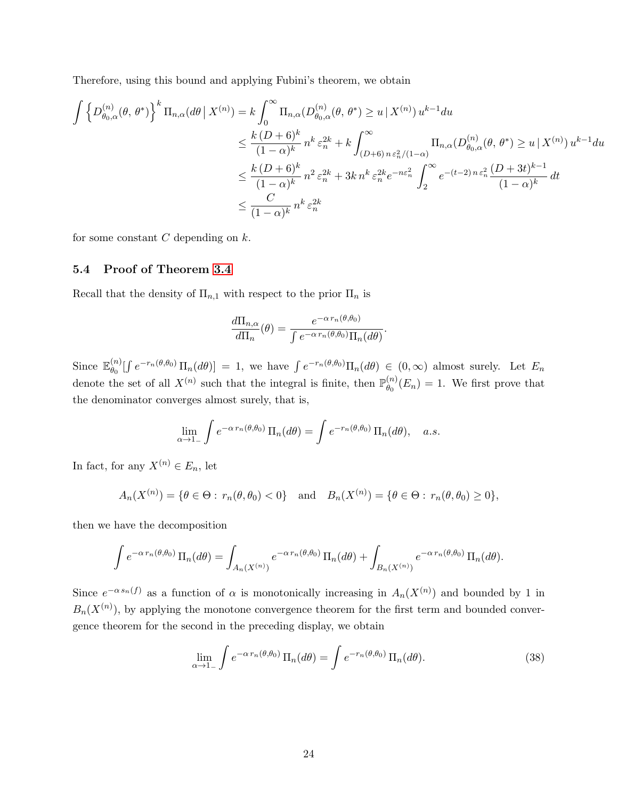Therefore, using this bound and applying Fubini's theorem, we obtain

$$
\int \left\{ D_{\theta_{0},\alpha}^{(n)}(\theta,\theta^{*}) \right\}^{k} \Pi_{n,\alpha}(d\theta \mid X^{(n)}) = k \int_{0}^{\infty} \Pi_{n,\alpha} (D_{\theta_{0},\alpha}^{(n)}(\theta,\theta^{*}) \ge u \mid X^{(n)}) u^{k-1} du
$$
  
\n
$$
\le \frac{k (D+6)^{k}}{(1-\alpha)^{k}} n^{k} \varepsilon_{n}^{2k} + k \int_{(D+6) n \varepsilon_{n}^{2}/(1-\alpha)}^{\infty} \Pi_{n,\alpha} (D_{\theta_{0},\alpha}^{(n)}(\theta,\theta^{*}) \ge u \mid X^{(n)}) u^{k-1} du
$$
  
\n
$$
\le \frac{k (D+6)^{k}}{(1-\alpha)^{k}} n^{2} \varepsilon_{n}^{2k} + 3k n^{k} \varepsilon_{n}^{2k} e^{-n\varepsilon_{n}^{2}} \int_{2}^{\infty} e^{-(t-2) n \varepsilon_{n}^{2}} \frac{(D+3t)^{k-1}}{(1-\alpha)^{k}} dt
$$
  
\n
$$
\le \frac{C}{(1-\alpha)^{k}} n^{k} \varepsilon_{n}^{2k}
$$

for some constant  $C$  depending on  $k$ .

#### 5.4 Proof of Theorem [3.4](#page-9-0)

Recall that the density of  $\Pi_{n,1}$  with respect to the prior  $\Pi_n$  is

$$
\frac{d\Pi_{n,\alpha}}{d\Pi_n}(\theta) = \frac{e^{-\alpha \, r_n(\theta,\theta_0)}}{\int e^{-\alpha \, r_n(\theta,\theta_0)} \Pi_n(d\theta)}
$$

.

Since  $\mathbb{E}_{\theta_0}^{(n)}$  $\int_{\theta_0}^{(n)} \left[ \int e^{-r_n(\theta,\theta_0)} \Pi_n(d\theta) \right] = 1$ , we have  $\int e^{-r_n(\theta,\theta_0)} \Pi_n(d\theta) \in (0,\infty)$  almost surely. Let  $E_n$ denote the set of all  $X^{(n)}$  such that the integral is finite, then  $\mathbb{P}_{\theta_0}^{(n)}$  $\binom{n}{\theta_0}(E_n) = 1$ . We first prove that the denominator converges almost surely, that is,

$$
\lim_{\alpha \to 1_{-}} \int e^{-\alpha \, r_{n}(\theta, \theta_{0})} \, \Pi_{n}(d\theta) = \int e^{-r_{n}(\theta, \theta_{0})} \, \Pi_{n}(d\theta), \quad a.s.
$$

In fact, for any  $X^{(n)} \in E_n$ , let

$$
A_n(X^{(n)}) = \{\theta \in \Theta : r_n(\theta, \theta_0) < 0\}
$$
 and  $B_n(X^{(n)}) = \{\theta \in \Theta : r_n(\theta, \theta_0) \ge 0\},\$ 

then we have the decomposition

$$
\int e^{-\alpha r_n(\theta,\theta_0)} \Pi_n(d\theta) = \int_{A_n(X^{(n)})} e^{-\alpha r_n(\theta,\theta_0)} \Pi_n(d\theta) + \int_{B_n(X^{(n)})} e^{-\alpha r_n(\theta,\theta_0)} \Pi_n(d\theta).
$$

Since  $e^{-\alpha s_n(f)}$  as a function of  $\alpha$  is monotonically increasing in  $A_n(X^{(n)})$  and bounded by 1 in  $B_n(X^{(n)})$ , by applying the monotone convergence theorem for the first term and bounded convergence theorem for the second in the preceding display, we obtain

<span id="page-23-0"></span>
$$
\lim_{\alpha \to 1_{-}} \int e^{-\alpha \, r_{n}(\theta,\theta_{0})} \, \Pi_{n}(d\theta) = \int e^{-r_{n}(\theta,\theta_{0})} \, \Pi_{n}(d\theta). \tag{38}
$$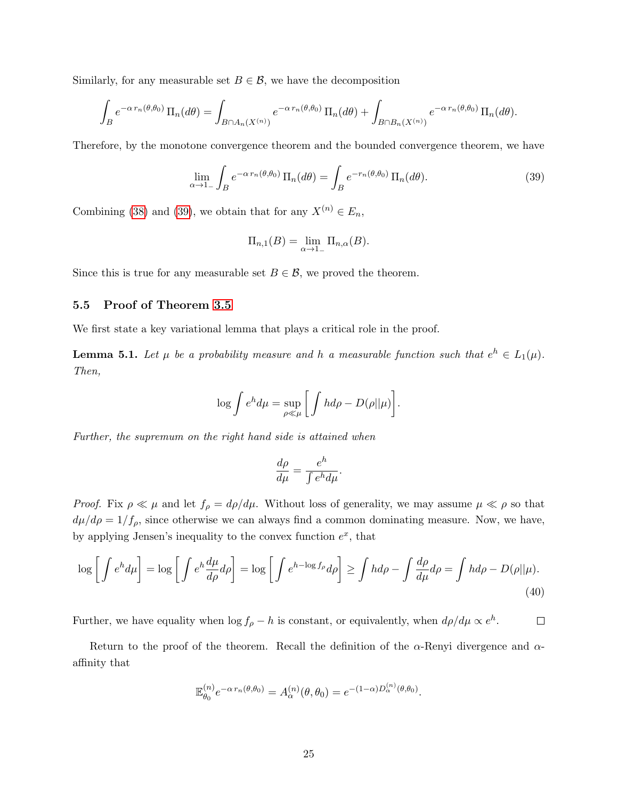Similarly, for any measurable set  $B \in \mathcal{B}$ , we have the decomposition

$$
\int_B e^{-\alpha r_n(\theta,\theta_0)} \Pi_n(d\theta) = \int_{B \cap A_n(X^{(n)})} e^{-\alpha r_n(\theta,\theta_0)} \Pi_n(d\theta) + \int_{B \cap B_n(X^{(n)})} e^{-\alpha r_n(\theta,\theta_0)} \Pi_n(d\theta).
$$

Therefore, by the monotone convergence theorem and the bounded convergence theorem, we have

$$
\lim_{\alpha \to 1_{-}} \int_{B} e^{-\alpha \, r_{n}(\theta, \theta_{0})} \, \Pi_{n}(d\theta) = \int_{B} e^{-r_{n}(\theta, \theta_{0})} \, \Pi_{n}(d\theta). \tag{39}
$$

Combining [\(38\)](#page-23-0) and [\(39\)](#page-24-0), we obtain that for any  $X^{(n)} \in E_n$ ,

<span id="page-24-0"></span>
$$
\Pi_{n,1}(B) = \lim_{\alpha \to 1^-} \Pi_{n,\alpha}(B).
$$

Since this is true for any measurable set  $B \in \mathcal{B}$ , we proved the theorem.

## <span id="page-24-2"></span>5.5 Proof of Theorem [3.5](#page-10-1)

We first state a key variational lemma that plays a critical role in the proof.

<span id="page-24-1"></span>**Lemma 5.1.** Let  $\mu$  be a probability measure and h a measurable function such that  $e^h \in L_1(\mu)$ . Then,

$$
\log \int e^{h} d\mu = \sup_{\rho \ll \mu} \left[ \int h d\rho - D(\rho || \mu) \right].
$$

Further, the supremum on the right hand side is attained when

<span id="page-24-3"></span>
$$
\frac{d\rho}{d\mu} = \frac{e^h}{\int e^h d\mu}.
$$

*Proof.* Fix  $\rho \ll \mu$  and let  $f_{\rho} = d\rho/d\mu$ . Without loss of generality, we may assume  $\mu \ll \rho$  so that  $d\mu/d\rho = 1/f_\rho$ , since otherwise we can always find a common dominating measure. Now, we have, by applying Jensen's inequality to the convex function  $e^x$ , that

$$
\log \left[ \int e^{h} d\mu \right] = \log \left[ \int e^{h} \frac{d\mu}{d\rho} d\rho \right] = \log \left[ \int e^{h - \log f_{\rho}} d\rho \right] \ge \int h d\rho - \int \frac{d\rho}{d\mu} d\rho = \int h d\rho - D(\rho || \mu). \tag{40}
$$

Further, we have equality when  $\log f_{\rho} - h$  is constant, or equivalently, when  $d\rho/d\mu \propto e^{h}$ .  $\Box$ 

Return to the proof of the theorem. Recall the definition of the  $\alpha$ -Renyi divergence and  $\alpha$ affinity that

$$
\mathbb{E}_{\theta_0}^{(n)} e^{-\alpha r_n(\theta, \theta_0)} = A_{\alpha}^{(n)}(\theta, \theta_0) = e^{-(1-\alpha)D_{\alpha}^{(n)}(\theta, \theta_0)}.
$$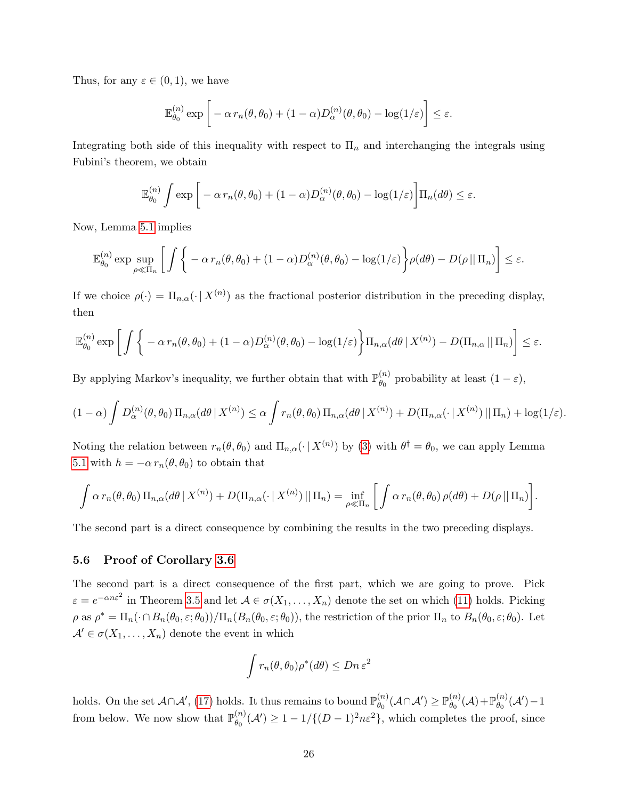Thus, for any  $\varepsilon \in (0,1)$ , we have

$$
\mathbb{E}_{\theta_0}^{(n)} \exp \bigg[ -\alpha \, r_n(\theta, \theta_0) + (1 - \alpha) D_{\alpha}^{(n)}(\theta, \theta_0) - \log(1/\varepsilon) \bigg] \le \varepsilon.
$$

Integrating both side of this inequality with respect to  $\Pi_n$  and interchanging the integrals using Fubini's theorem, we obtain

$$
\mathbb{E}_{\theta_0}^{(n)} \int \exp \bigg[ -\alpha \, r_n(\theta, \theta_0) + (1 - \alpha) D_{\alpha}^{(n)}(\theta, \theta_0) - \log(1/\varepsilon) \bigg] \Pi_n(d\theta) \le \varepsilon.
$$

Now, Lemma [5.1](#page-24-1) implies

$$
\mathbb{E}_{\theta_0}^{(n)} \exp \sup_{\rho \ll \Pi_n} \left[ \int \left\{ -\alpha \, r_n(\theta, \theta_0) + (1 - \alpha) D_{\alpha}^{(n)}(\theta, \theta_0) - \log(1/\varepsilon) \right\} \rho(d\theta) - D(\rho \, || \, \Pi_n) \right] \le \varepsilon.
$$

If we choice  $\rho(\cdot) = \Pi_{n,\alpha}(\cdot | X^{(n)})$  as the fractional posterior distribution in the preceding display, then

$$
\mathbb{E}_{\theta_0}^{(n)} \exp \bigg[ \int \bigg\{ -\alpha \, r_n(\theta, \theta_0) + (1 - \alpha) D_{\alpha}^{(n)}(\theta, \theta_0) - \log(1/\varepsilon) \bigg\} \Pi_{n, \alpha}(d\theta \, | \, X^{(n)}) - D(\Pi_{n, \alpha} \, || \, \Pi_n) \bigg] \leq \varepsilon.
$$

By applying Markov's inequality, we further obtain that with  $\mathbb{P}_{\theta_0}^{(n)}$  $\begin{bmatrix} 0 & \mu \\ \theta_0 & \mu \end{bmatrix}$  probability at least  $(1 - \varepsilon)$ ,

$$
(1-\alpha)\int D_{\alpha}^{(n)}(\theta,\theta_0) \Pi_{n,\alpha}(d\theta | X^{(n)}) \leq \alpha \int r_n(\theta,\theta_0) \Pi_{n,\alpha}(d\theta | X^{(n)}) + D(\Pi_{n,\alpha}(\cdot | X^{(n)}) || \Pi_n) + \log(1/\varepsilon).
$$

Noting the relation between  $r_n(\theta, \theta_0)$  and  $\Pi_{n,\alpha}(\cdot | X^{(n)})$  by [\(3\)](#page-5-2) with  $\theta^{\dagger} = \theta_0$ , we can apply Lemma [5.1](#page-24-1) with  $h = -\alpha r_n(\theta, \theta_0)$  to obtain that

$$
\int \alpha \, r_n(\theta, \theta_0) \, \Pi_{n,\alpha}(d\theta \, | \, X^{(n)}) + D(\Pi_{n,\alpha}(\cdot \, | \, X^{(n)}) \, || \, \Pi_n) = \inf_{\rho \ll \Pi_n} \bigg[ \int \alpha \, r_n(\theta, \theta_0) \, \rho(d\theta) + D(\rho \, || \, \Pi_n) \bigg].
$$

The second part is a direct consequence by combining the results in the two preceding displays.

## <span id="page-25-0"></span>5.6 Proof of Corollary [3.6](#page-12-1)

The second part is a direct consequence of the first part, which we are going to prove. Pick  $\varepsilon = e^{-\alpha n \varepsilon^2}$  in Theorem [3.5](#page-10-1) and let  $\mathcal{A} \in \sigma(X_1, \ldots, X_n)$  denote the set on which [\(11\)](#page-10-3) holds. Picking  $\rho$  as  $\rho^* = \Pi_n(\cdot \cap B_n(\theta_0, \varepsilon; \theta_0)) / \Pi_n(B_n(\theta_0, \varepsilon; \theta_0))$ , the restriction of the prior  $\Pi_n$  to  $B_n(\theta_0, \varepsilon; \theta_0)$ . Let  $\mathcal{A}' \in \sigma(X_1, \ldots, X_n)$  denote the event in which

$$
\int r_n(\theta, \theta_0) \rho^*(d\theta) \le Dn \varepsilon^2
$$

holds. On the set  $\mathcal{A} \cap \mathcal{A}'$ , [\(17\)](#page-12-0) holds. It thus remains to bound  $\mathbb{P}_{\theta_0}^{(n)}$  $\theta_0^{(n)}(\mathcal{A}\cap\mathcal{A}')\geq \mathbb{P}^{(n)}_{\theta_0}$  $\stackrel{(n)}{\theta_0}(\mathcal{A})+\mathbb{P}_{\theta_0}^{(n)}$  $\overset{(n)}{\theta_0}(\mathcal{A}')-1$ from below. We now show that  $\mathbb{P}_{\theta_0}^{(n)}$  $\binom{n}{\theta_0}$  (*A'*)  $\geq 1 - 1/\{(D-1)^2n\varepsilon^2\}$ , which completes the proof, since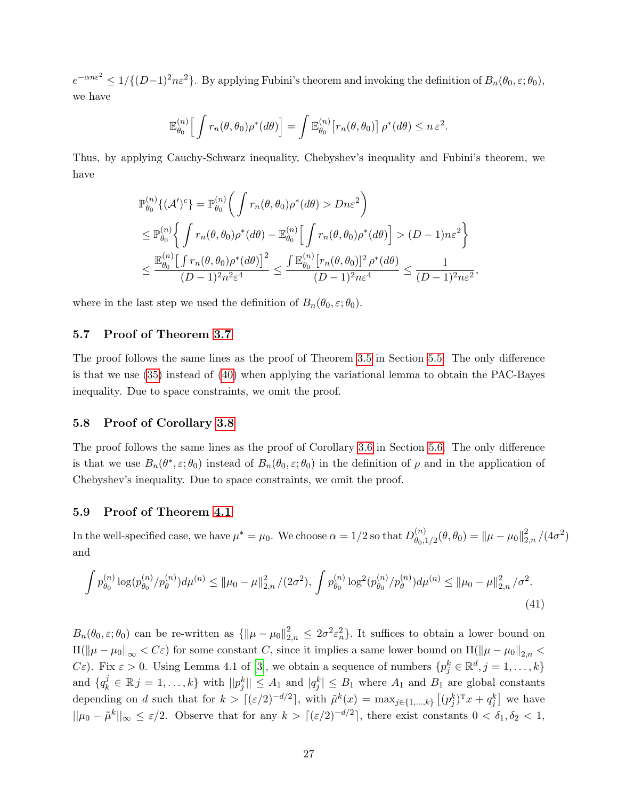$e^{-\alpha n \varepsilon^2} \leq 1/\{(D-1)^2n\varepsilon^2\}$ . By applying Fubini's theorem and invoking the definition of  $B_n(\theta_0, \varepsilon; \theta_0)$ , we have

$$
\mathbb{E}_{\theta_0}^{(n)} \Big[ \int r_n(\theta, \theta_0) \rho^*(d\theta) \Big] = \int \mathbb{E}_{\theta_0}^{(n)} \big[ r_n(\theta, \theta_0) \big] \rho^*(d\theta) \leq n \, \varepsilon^2.
$$

Thus, by applying Cauchy-Schwarz inequality, Chebyshev's inequality and Fubini's theorem, we have

$$
\mathbb{P}_{\theta_0}^{(n)}\{(\mathcal{A}')^c\} = \mathbb{P}_{\theta_0}^{(n)}\left(\int r_n(\theta,\theta_0)\rho^*(d\theta) > Dn\varepsilon^2\right)
$$
\n
$$
\leq \mathbb{P}_{\theta_0}^{(n)}\left\{\int r_n(\theta,\theta_0)\rho^*(d\theta) - \mathbb{E}_{\theta_0}^{(n)}\left[\int r_n(\theta,\theta_0)\rho^*(d\theta)\right] > (D-1)n\varepsilon^2\right\}
$$
\n
$$
\leq \frac{\mathbb{E}_{\theta_0}^{(n)}\left[\int r_n(\theta,\theta_0)\rho^*(d\theta)\right]^2}{(D-1)^2n^2\varepsilon^4} \leq \frac{\int \mathbb{E}_{\theta_0}^{(n)}\left[r_n(\theta,\theta_0)\right]^2\rho^*(d\theta)}{(D-1)^2n\varepsilon^4} \leq \frac{1}{(D-1)^2n\varepsilon^2},
$$

where in the last step we used the definition of  $B_n(\theta_0, \varepsilon; \theta_0)$ .

## 5.7 Proof of Theorem [3.7](#page-13-1)

The proof follows the same lines as the proof of Theorem [3.5](#page-10-1) in Section [5.5.](#page-24-2) The only difference is that we use [\(35\)](#page-21-1) instead of [\(40\)](#page-24-3) when applying the variational lemma to obtain the PAC-Bayes inequality. Due to space constraints, we omit the proof.

#### 5.8 Proof of Corollary [3.8](#page-13-0)

The proof follows the same lines as the proof of Corollary [3.6](#page-12-1) in Section [5.6.](#page-25-0) The only difference is that we use  $B_n(\theta^*, \varepsilon; \theta_0)$  instead of  $B_n(\theta_0, \varepsilon; \theta_0)$  in the definition of  $\rho$  and in the application of Chebyshev's inequality. Due to space constraints, we omit the proof.

#### 5.9 Proof of Theorem [4.1](#page-17-1)

In the well-specified case, we have  $\mu^* = \mu_0$ . We choose  $\alpha = 1/2$  so that  $D_{\theta_0}^{(n)}$  $\binom{n}{\theta_0,1/2}(\theta,\theta_0) = \|\mu-\mu_0\|_{2,n}^2/(4\sigma^2)$ and

$$
\int p_{\theta_0}^{(n)} \log(p_{\theta_0}^{(n)}/p_{\theta}^{(n)}) d\mu^{(n)} \le ||\mu_0 - \mu||_{2,n}^2 / (2\sigma^2), \int p_{\theta_0}^{(n)} \log^2(p_{\theta_0}^{(n)}/p_{\theta}^{(n)}) d\mu^{(n)} \le ||\mu_0 - \mu||_{2,n}^2 / \sigma^2.
$$
\n
$$
(41)
$$

 $B_n(\theta_0, \varepsilon; \theta_0)$  can be re-written as  $\{\|\mu - \mu_0\|_{2,n}^2 \leq 2\sigma^2 \varepsilon_n^2\}$ . It suffices to obtain a lower bound on  $\Pi(\|\mu - \mu_0\|_{\infty} < C\varepsilon)$  for some constant C, since it implies a same lower bound on  $\Pi(\|\mu - \mu_0\|_{2,n} <$  $C\varepsilon$ ). Fix  $\varepsilon > 0$ . Using Lemma 4.1 of [\[3\]](#page-31-10), we obtain a sequence of numbers  $\{p_j^k \in \mathbb{R}^d, j = 1, \ldots, k\}$ and  $\{q_k^j \in \mathbb{R} \mid j = 1, \ldots, k\}$  with  $||p_j^k|| \leq A_1$  and  $|q_j^k| \leq B_1$  where  $A_1$  and  $B_1$  are global constants depending on d such that for  $k > [(\varepsilon/2)^{-d/2}]$ , with  $\tilde{\mu}^k(x) = \max_{j \in \{1, ..., k\}} [(\rho_j^k)^T x + q_j^k]$  we have  $||\mu_0 - \tilde{\mu}^k||_{\infty} \leq \varepsilon/2$ . Observe that for any  $k > [(\varepsilon/2)^{-d/2}]$ , there exist constants  $0 < \delta_1, \delta_2 < 1$ ,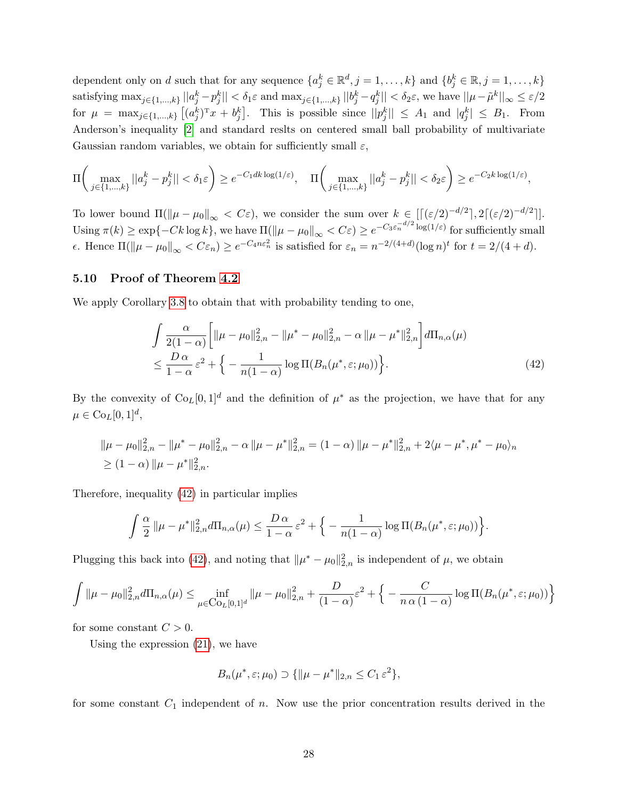dependent only on d such that for any sequence  $\{a_j^k \in \mathbb{R}^d, j = 1, \ldots, k\}$  and  $\{b_j^k \in \mathbb{R}, j = 1, \ldots, k\}$  $\text{satisfying } \max_{j \in \{1, ..., k\}} ||a_j^k - p_j^k|| < \delta_1 \varepsilon \text{ and } \max_{j \in \{1, ..., k\}} ||b_j^k - q_j^k|| < \delta_2 \varepsilon \text{, we have } ||\mu - \tilde{\mu}^k||_{\infty} \leq \varepsilon/2$ for  $\mu = \max_{j \in \{1, ..., k\}} \left[ (a_j^k)^T x + b_j^k \right]$ . This is possible since  $||p_j^k|| \leq A_1$  and  $|q_j^k| \leq B_1$ . From Anderson's inequality [\[2\]](#page-31-11) and standard reslts on centered small ball probability of multivariate Gaussian random variables, we obtain for sufficiently small  $\varepsilon$ ,

$$
\Pi\bigg(\max_{j\in\{1,\ldots,k\}}||a_j^k - p_j^k|| < \delta_1\varepsilon\bigg) \ge e^{-C_1dk\log(1/\varepsilon)}, \quad \Pi\bigg(\max_{j\in\{1,\ldots,k\}}||a_j^k - p_j^k|| < \delta_2\varepsilon\bigg) \ge e^{-C_2k\log(1/\varepsilon)},
$$

To lower bound  $\Pi(\|\mu - \mu_0\|_{\infty} < C\varepsilon)$ , we consider the sum over  $k \in [[(\varepsilon/2)^{-d/2}], 2[(\varepsilon/2)^{-d/2}]]$ . Using  $\pi(k) \ge \exp\{-Ck \log k\}$ , we have  $\Pi(\|\mu - \mu_0\|_{\infty} < C\varepsilon) \ge e^{-C_3 \varepsilon_n^{-d/2} \log(1/\varepsilon)}$  for sufficiently small *ε*. Hence  $\Pi(\|\mu - \mu_0\|_{\infty} < C \varepsilon_n) \ge e^{-C_4 n \varepsilon_n^2}$  is satisfied for  $\varepsilon_n = n^{-2/(4+d)} (\log n)^t$  for  $t = 2/(4+d)$ .

## 5.10 Proof of Theorem [4.2](#page-18-0)

We apply Corollary [3.8](#page-13-0) to obtain that with probability tending to one,

<span id="page-27-0"></span>
$$
\int \frac{\alpha}{2(1-\alpha)} \left[ \|\mu - \mu_0\|_{2,n}^2 - \|\mu^* - \mu_0\|_{2,n}^2 - \alpha \|\mu - \mu^*\|_{2,n}^2 \right] d\Pi_{n,\alpha}(\mu)
$$
\n
$$
\leq \frac{D\alpha}{1-\alpha} \varepsilon^2 + \left\{ -\frac{1}{n(1-\alpha)} \log \Pi(B_n(\mu^*, \varepsilon; \mu_0)) \right\}.
$$
\n(42)

By the convexity of  $Co_L[0,1]^d$  and the definition of  $\mu^*$  as the projection, we have that for any  $\mu \in \mathrm{Co}_L[0,1]^d,$ 

$$
\|\mu - \mu_0\|_{2,n}^2 - \|\mu^* - \mu_0\|_{2,n}^2 - \alpha \|\mu - \mu^*\|_{2,n}^2 = (1 - \alpha) \|\mu - \mu^*\|_{2,n}^2 + 2\langle \mu - \mu^*, \mu^* - \mu_0 \rangle_n
$$
  
\n
$$
\geq (1 - \alpha) \|\mu - \mu^*\|_{2,n}^2.
$$

Therefore, inequality [\(42\)](#page-27-0) in particular implies

$$
\int \frac{\alpha}{2} \|\mu - \mu^*\|_{2,n}^2 d\Pi_{n,\alpha}(\mu) \le \frac{D\alpha}{1-\alpha} \varepsilon^2 + \Big\{-\frac{1}{n(1-\alpha)}\log \Pi(B_n(\mu^*,\varepsilon;\mu_0))\Big\}.
$$

Plugging this back into [\(42\)](#page-27-0), and noting that  $\|\mu^* - \mu_0\|_{2,n}^2$  is independent of  $\mu$ , we obtain

$$
\int \|\mu - \mu_0\|_{2,n}^2 d\Pi_{n,\alpha}(\mu) \le \inf_{\mu \in \text{Co}_{L}[0,1]^d} \|\mu - \mu_0\|_{2,n}^2 + \frac{D}{(1-\alpha)} \varepsilon^2 + \Big\{ -\frac{C}{n \alpha (1-\alpha)} \log \Pi(B_n(\mu^*, \varepsilon; \mu_0)) \Big\}
$$

for some constant  $C > 0$ .

Using the expression  $(21)$ , we have

$$
B_n(\mu^*, \varepsilon; \mu_0) \supset \{ \|\mu - \mu^*\|_{2,n} \le C_1 \varepsilon^2 \},
$$

for some constant  $C_1$  independent of n. Now use the prior concentration results derived in the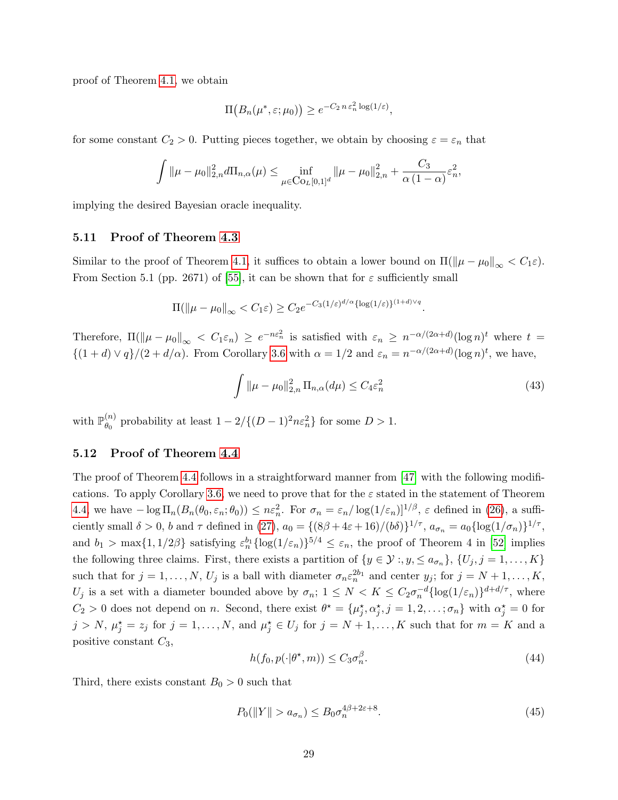proof of Theorem [4.1,](#page-17-1) we obtain

$$
\Pi(B_n(\mu^*, \varepsilon; \mu_0)) \ge e^{-C_2 n \varepsilon_n^2 \log(1/\varepsilon)},
$$

for some constant  $C_2 > 0$ . Putting pieces together, we obtain by choosing  $\varepsilon = \varepsilon_n$  that

$$
\int \|\mu - \mu_0\|_{2,n}^2 d\Pi_{n,\alpha}(\mu) \le \inf_{\mu \in \text{Co}_{L}[0,1]^d} \|\mu - \mu_0\|_{2,n}^2 + \frac{C_3}{\alpha (1-\alpha)} \varepsilon_n^2,
$$

implying the desired Bayesian oracle inequality.

#### 5.11 Proof of Theorem [4.3](#page-19-0)

Similar to the proof of Theorem [4.1,](#page-17-1) it suffices to obtain a lower bound on  $\Pi(\|\mu - \mu_0\|_{\infty} < C_1 \varepsilon)$ . From Section 5.1 (pp. 2671) of [\[55\]](#page-34-12), it can be shown that for  $\varepsilon$  sufficiently small

$$
\Pi(\|\mu - \mu_0\|_{\infty} < C_1 \varepsilon) \ge C_2 e^{-C_3(1/\varepsilon)^{d/\alpha} {\log(1/\varepsilon)}}^{1+d)\vee q}
$$

Therefore,  $\Pi(\|\mu - \mu_0\|_{\infty} < C_1 \varepsilon_n) \ge e^{-n\varepsilon_n^2}$  is satisfied with  $\varepsilon_n \ge n^{-\alpha/(2\alpha+d)} (\log n)^t$  where  $t =$  $\{(1+d) \vee q\}/(2+d/\alpha)$ . From Corollary [3.6](#page-12-1) with  $\alpha = 1/2$  and  $\varepsilon_n = n^{-\alpha/(2\alpha+d)}(\log n)^t$ , we have,

$$
\int \|\mu - \mu_0\|_{2,n}^2 \Pi_{n,\alpha}(d\mu) \le C_4 \varepsilon_n^2 \tag{43}
$$

.

with  $\mathbb{P}_{\theta_0}^{(n)}$  $\binom{n}{\theta_0}$  probability at least  $1 - 2/\{(D-1)^2 n \varepsilon_n^2\}$  for some  $D > 1$ .

## 5.12 Proof of Theorem [4.4](#page-20-2)

The proof of Theorem [4.4](#page-20-2) follows in a straightforward manner from [\[47\]](#page-34-15) with the following modifi-cations. To apply Corollary [3.6,](#page-12-1) we need to prove that for the  $\varepsilon$  stated in the statement of Theorem [4.4,](#page-20-2) we have  $-\log \Pi_n(B_n(\theta_0, \varepsilon_n; \theta_0)) \leq n \varepsilon_n^2$ . For  $\sigma_n = \varepsilon_n / \log(1/\varepsilon_n)|^{1/\beta}$ ,  $\varepsilon$  defined in [\(26\)](#page-19-1), a sufficiently small  $\delta > 0$ , b and  $\tau$  defined in [\(27\)](#page-19-2),  $a_0 = \{(8\beta + 4\varepsilon + 16)/(b\delta)\}^{1/\tau}$ ,  $a_{\sigma_n} = a_0 \{\log(1/\sigma_n)\}^{1/\tau}$ , and  $b_1 > \max\{1, 1/2\beta\}$  satisfying  $\varepsilon_n^{b_1} {\log(1/\varepsilon_n)}^{5/4} \leq \varepsilon_n$ , the proof of Theorem 4 in [\[52\]](#page-34-13) implies the following three claims. First, there exists a partition of  $\{y \in \mathcal{Y} : y, \leq a_{\sigma_n}\}, \{U_j, j = 1, \ldots, K\}$ such that for  $j = 1, \ldots, N$ ,  $U_j$  is a ball with diameter  $\sigma_n \varepsilon_n^{2b_1}$  and center  $y_j$ ; for  $j = N + 1, \ldots, K$ ,  $U_j$  is a set with a diameter bounded above by  $\sigma_n$ ;  $1 \leq N < K \leq C_2 \sigma_n^{-d} {\log(1/\varepsilon_n)}^{d+d/\tau}$ , where  $C_2 > 0$  does not depend on n. Second, there exist  $\theta^* = {\mu_j^*, \alpha_j^*, j = 1, 2, \ldots, \sigma_n}$  with  $\alpha_j^* = 0$  for  $j > N, \mu_j^* = z_j$  for  $j = 1, ..., N$ , and  $\mu_j^* \in U_j$  for  $j = N + 1, ..., K$  such that for  $m = K$  and a positive constant  $C_3$ ,

$$
h(f_0, p(\cdot | \theta^\star, m)) \le C_3 \sigma_n^{\beta}.
$$
\n<sup>(44)</sup>

Third, there exists constant  $B_0 > 0$  such that

<span id="page-28-0"></span>
$$
P_0(\|Y\| > a_{\sigma_n}) \le B_0 \sigma_n^{4\beta + 2\varepsilon + 8}.\tag{45}
$$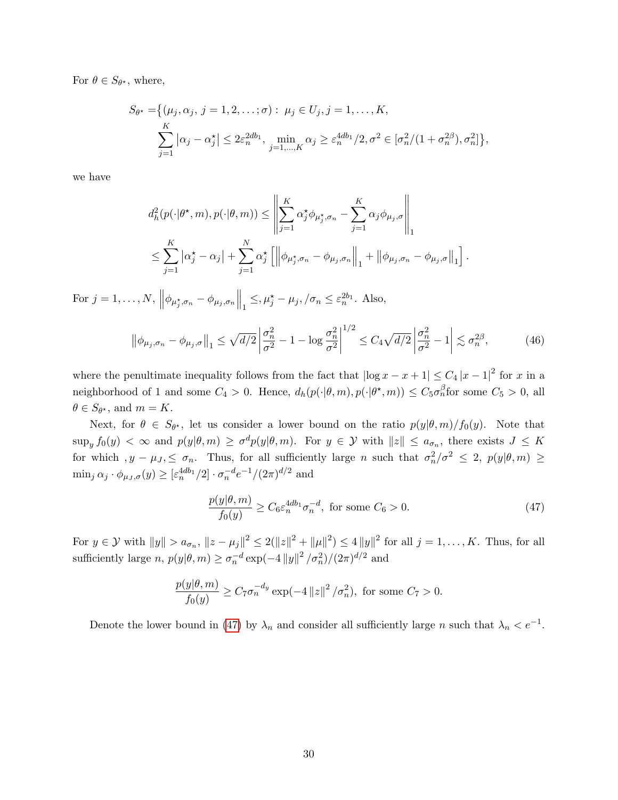For  $\theta \in S_{\theta^*}$ , where,

$$
S_{\theta^*} = \{ (\mu_j, \alpha_j, j = 1, 2, \dots; \sigma) : \mu_j \in U_j, j = 1, \dots, K, \sum_{j=1}^K |\alpha_j - \alpha_j^*| \le 2\varepsilon_n^{2db_1}, \min_{j=1,\dots,K} \alpha_j \ge \varepsilon_n^{4db_1}/2, \sigma^2 \in [\sigma_n^2/(1 + \sigma_n^{2\beta}), \sigma_n^2] \}
$$

,

we have

$$
d_h^2(p(\cdot|\theta^\star, m), p(\cdot|\theta, m)) \le \left\| \sum_{j=1}^K \alpha_j^\star \phi_{\mu_j^\star, \sigma_n} - \sum_{j=1}^K \alpha_j \phi_{\mu_j, \sigma} \right\|_1
$$
  

$$
\le \sum_{j=1}^K |\alpha_j^\star - \alpha_j| + \sum_{j=1}^N \alpha_j^\star \left[ \left\| \phi_{\mu_j^\star, \sigma_n} - \phi_{\mu_j, \sigma_n} \right\|_1 + \left\| \phi_{\mu_j, \sigma_n} - \phi_{\mu_j, \sigma} \right\|_1 \right].
$$

For  $j = 1, ..., N$ ,  $\left\|\phi_{\mu_j^{\star}, \sigma_n} - \phi_{\mu_j, \sigma_n}\right\|_1 \leq, \mu_j^{\star} - \mu_j, /\sigma_n \leq \varepsilon_n^{2b_1}$ . Also,

$$
\left\|\phi_{\mu_j,\sigma_n} - \phi_{\mu_j,\sigma}\right\|_1 \le \sqrt{d/2} \left|\frac{\sigma_n^2}{\sigma^2} - 1 - \log\frac{\sigma_n^2}{\sigma^2}\right|^{1/2} \le C_4 \sqrt{d/2} \left|\frac{\sigma_n^2}{\sigma^2} - 1\right| \lesssim \sigma_n^{2\beta},\tag{46}
$$

where the penultimate inequality follows from the fact that  $\left|\log x - x + 1\right| \leq C_4 |x - 1|^2$  for x in a neighborhood of 1 and some  $C_4 > 0$ . Hence,  $d_h(p(\cdot|\theta,m), p(\cdot|\theta^*, m)) \leq C_5 \sigma_n^{\beta}$ for some  $C_5 > 0$ , all  $\theta \in S_{\theta^*}$ , and  $m = K$ .

Next, for  $\theta \in S_{\theta^*}$ , let us consider a lower bound on the ratio  $p(y|\theta,m)/f_0(y)$ . Note that  $\sup_y f_0(y) < \infty$  and  $p(y|\theta,m) \ge \sigma^d p(y|\theta,m)$ . For  $y \in \mathcal{Y}$  with  $||z|| \le a_{\sigma_n}$ , there exists  $J \le K$ for which  $, y - \mu_J \leq \sigma_n$ . Thus, for all sufficiently large n such that  $\sigma_n^2/\sigma^2 \leq 2$ ,  $p(y|\theta,m) \geq$  $\min_j \alpha_j \cdot \phi_{\mu_J,\sigma}(y) \geq [\varepsilon_n^{4db_1}/2] \cdot \sigma_n^{-d} e^{-1}/(2\pi)^{d/2}$  and

<span id="page-29-0"></span>
$$
\frac{p(y|\theta, m)}{f_0(y)} \ge C_6 \varepsilon_n^{4db_1} \sigma_n^{-d}, \text{ for some } C_6 > 0.
$$
 (47)

For  $y \in \mathcal{Y}$  with  $||y|| > a_{\sigma_n}$ ,  $||z - \mu_j||^2 \le 2(||z||^2 + ||\mu||^2) \le 4 ||y||^2$  for all  $j = 1, ..., K$ . Thus, for all sufficiently large  $n$ ,  $p(y|\theta, m) \ge \sigma_n^{-d} \exp(-4 ||y||^2 / \sigma_n^2) / (2\pi)^{d/2}$  and

$$
\frac{p(y|\theta, m)}{f_0(y)} \ge C_7 \sigma_n^{-d_y} \exp(-4 ||z||^2 / \sigma_n^2), \text{ for some } C_7 > 0.
$$

Denote the lower bound in [\(47\)](#page-29-0) by  $\lambda_n$  and consider all sufficiently large n such that  $\lambda_n < e^{-1}$ .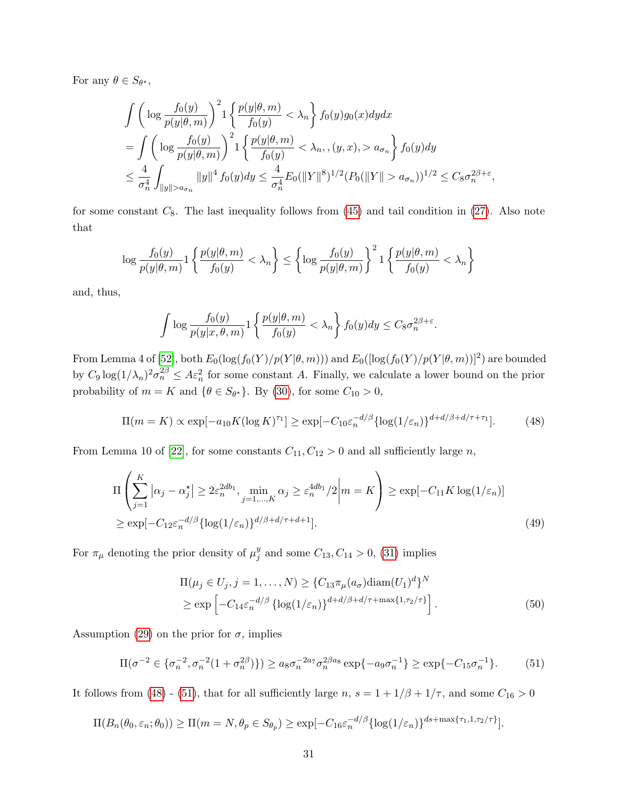For any  $\theta \in S_{\theta^*},$ 

$$
\int \left( \log \frac{f_0(y)}{p(y|\theta, m)} \right)^2 1 \left\{ \frac{p(y|\theta, m)}{f_0(y)} < \lambda_n \right\} f_0(y) g_0(x) dy dx \n= \int \left( \log \frac{f_0(y)}{p(y|\theta, m)} \right)^2 1 \left\{ \frac{p(y|\theta, m)}{f_0(y)} < \lambda_n, (y, x), > a_{\sigma_n} \right\} f_0(y) dy \n\leq \frac{4}{\sigma_n^4} \int_{\|y\| > a_{\sigma_n}} \|y\|^4 f_0(y) dy \leq \frac{4}{\sigma_n^4} E_0(\|Y\|^8)^{1/2} (P_0(\|Y\| > a_{\sigma_n}))^{1/2} \leq C_8 \sigma_n^{2\beta + \varepsilon},
$$

for some constant  $C_8$ . The last inequality follows from  $(45)$  and tail condition in  $(27)$ . Also note that

$$
\log \frac{f_0(y)}{p(y|\theta, m)} 1 \left\{ \frac{p(y|\theta, m)}{f_0(y)} < \lambda_n \right\} \le \left\{ \log \frac{f_0(y)}{p(y|\theta, m)} \right\}^2 1 \left\{ \frac{p(y|\theta, m)}{f_0(y)} < \lambda_n \right\}
$$

and, thus,

$$
\int \log \frac{f_0(y)}{p(y|x,\theta,m)} 1 \left\{ \frac{p(y|\theta,m)}{f_0(y)} < \lambda_n \right\} f_0(y) dy \leq C_8 \sigma_n^{2\beta + \varepsilon}.
$$

From Lemma 4 of [\[52\]](#page-34-13), both  $E_0(\log(f_0(Y)/p(Y|\theta,m)))$  and  $E_0([\log(f_0(Y)/p(Y|\theta,m))]^2)$  are bounded by  $C_9 \log(1/\lambda_n)^2 \sigma_n^{2\beta} \leq A \varepsilon_n^2$  for some constant A. Finally, we calculate a lower bound on the prior probability of  $m = K$  and  $\{\theta \in S_{\theta^*}\}\$ . By [\(30\)](#page-20-3), for some  $C_{10} > 0$ ,

<span id="page-30-0"></span>
$$
\Pi(m = K) \propto \exp[-a_{10}K(\log K)^{\tau_1}] \ge \exp[-C_{10}\varepsilon_n^{-d/\beta} \{\log(1/\varepsilon_n)\}^{d+d/\beta+d/\tau+\tau_1}].\tag{48}
$$

From Lemma 10 of [\[22\]](#page-32-12), for some constants  $C_{11}, C_{12} > 0$  and all sufficiently large n,

$$
\Pi\left(\sum_{j=1}^{K} |\alpha_j - \alpha_j^{\star}| \ge 2\varepsilon_n^{2db_1}, \min_{j=1,\dots,K} \alpha_j \ge \varepsilon_n^{4db_1}/2 \middle| m = K\right) \ge \exp[-C_{11}K \log(1/\varepsilon_n)]
$$
  
 
$$
\ge \exp[-C_{12}\varepsilon_n^{-d/\beta} \{ \log(1/\varepsilon_n) \}^{d/\beta + d/\tau + d + 1}].
$$
 (49)

For  $\pi_{\mu}$  denoting the prior density of  $\mu_j^y$  $_j^y$  and some  $C_{13}$ ,  $C_{14} > 0$ , [\(31\)](#page-20-1) implies

$$
\Pi(\mu_j \in U_j, j = 1, \dots, N) \ge \{C_{13}\pi_\mu(a_\sigma) \operatorname{diam}(U_1)^d\}^N
$$
\n
$$
\ge \exp\left[-C_{14}\varepsilon_n^{-d/\beta} \left\{\log(1/\varepsilon_n)\right\}^{d+d/\beta+d/\tau+\max\{1,\tau_2/\tau\}}\right].
$$
\n(50)

Assumption [\(29\)](#page-19-3) on the prior for  $\sigma$ , implies

<span id="page-30-1"></span>
$$
\Pi(\sigma^{-2} \in \{\sigma_n^{-2}, \sigma_n^{-2}(1 + \sigma_n^{2\beta})\}) \ge a_8 \sigma_n^{-2a_7} \sigma_n^{2\beta a_8} \exp\{-a_9 \sigma_n^{-1}\} \ge \exp\{-C_{15} \sigma_n^{-1}\}.
$$
 (51)

It follows from [\(48\)](#page-30-0) - [\(51\)](#page-30-1), that for all sufficiently large  $n, s = 1 + 1/\beta + 1/\tau$ , and some  $C_{16} > 0$ 

$$
\Pi(B_n(\theta_0, \varepsilon_n; \theta_0)) \ge \Pi(m = N, \theta_p \in S_{\theta_p}) \ge \exp[-C_{16}\varepsilon_n^{-d/\beta} {\log(1/\varepsilon_n)}^{ds + \max\{\tau_1, 1, \tau_2/\tau\}}].
$$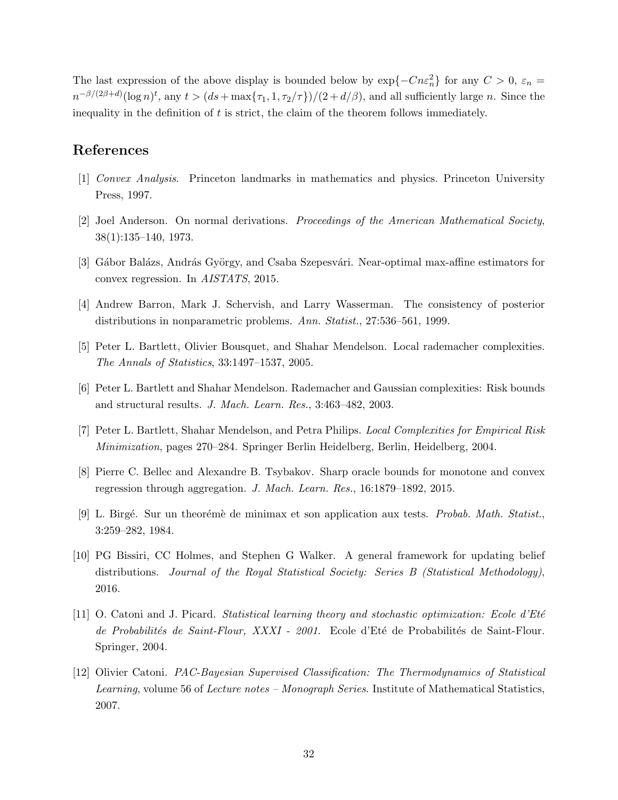The last expression of the above display is bounded below by  $\exp{-Cn\varepsilon_n^2}$  for any  $C > 0$ ,  $\varepsilon_n =$  $n^{-\beta/(2\beta+d)}(\log n)^t$ , any  $t > (ds + \max\{\tau_1, 1, \tau_2/\tau\})/(2 + d/\beta)$ , and all sufficiently large n. Since the inequality in the definition of  $t$  is strict, the claim of the theorem follows immediately.

# References

- <span id="page-31-9"></span>[1] Convex Analysis. Princeton landmarks in mathematics and physics. Princeton University Press, 1997.
- <span id="page-31-11"></span>[2] Joel Anderson. On normal derivations. Proceedings of the American Mathematical Society, 38(1):135–140, 1973.
- <span id="page-31-10"></span>[3] Gábor Balázs, András György, and Csaba Szepesvári. Near-optimal max-affine estimators for convex regression. In AISTATS, 2015.
- <span id="page-31-1"></span>[4] Andrew Barron, Mark J. Schervish, and Larry Wasserman. The consistency of posterior distributions in nonparametric problems. Ann. Statist., 27:536–561, 1999.
- <span id="page-31-4"></span>[5] Peter L. Bartlett, Olivier Bousquet, and Shahar Mendelson. Local rademacher complexities. The Annals of Statistics, 33:1497–1537, 2005.
- <span id="page-31-5"></span>[6] Peter L. Bartlett and Shahar Mendelson. Rademacher and Gaussian complexities: Risk bounds and structural results. J. Mach. Learn. Res., 3:463–482, 2003.
- <span id="page-31-8"></span>[7] Peter L. Bartlett, Shahar Mendelson, and Petra Philips. Local Complexities for Empirical Risk Minimization, pages 270–284. Springer Berlin Heidelberg, Berlin, Heidelberg, 2004.
- <span id="page-31-6"></span>[8] Pierre C. Bellec and Alexandre B. Tsybakov. Sharp oracle bounds for monotone and convex regression through aggregation. J. Mach. Learn. Res., 16:1879–1892, 2015.
- <span id="page-31-7"></span>[9] L. Birgé. Sur un theorémè de minimax et son application aux tests. *Probab. Math. Statist.*, 3:259–282, 1984.
- <span id="page-31-0"></span>[10] PG Bissiri, CC Holmes, and Stephen G Walker. A general framework for updating belief distributions. Journal of the Royal Statistical Society: Series B (Statistical Methodology), 2016.
- <span id="page-31-2"></span>[11] O. Catoni and J. Picard. Statistical learning theory and stochastic optimization: Ecole d'Eté de Probabilités de Saint-Flour, XXXI - 2001. Ecole d'Eté de Probabilités de Saint-Flour. Springer, 2004.
- <span id="page-31-3"></span>[12] Olivier Catoni. PAC-Bayesian Supervised Classification: The Thermodynamics of Statistical Learning, volume 56 of Lecture notes – Monograph Series. Institute of Mathematical Statistics, 2007.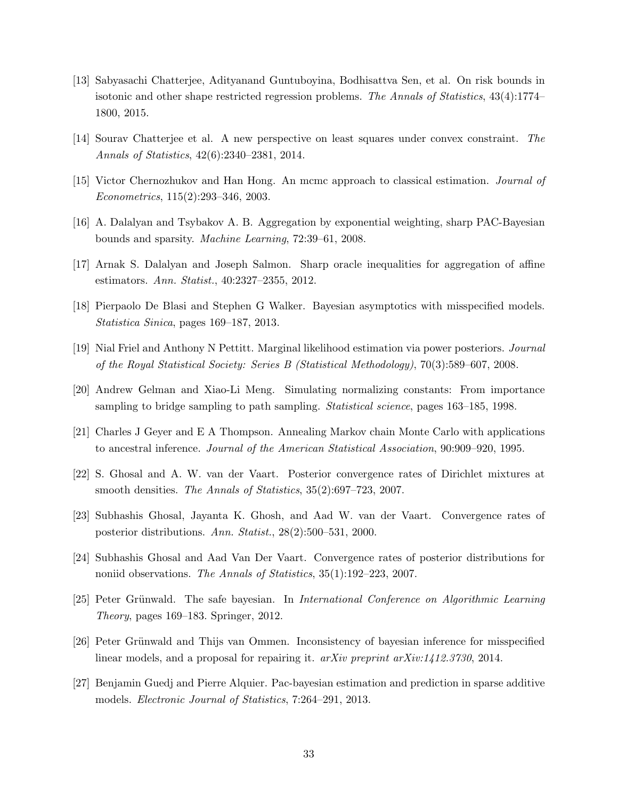- <span id="page-32-14"></span>[13] Sabyasachi Chatterjee, Adityanand Guntuboyina, Bodhisattva Sen, et al. On risk bounds in isotonic and other shape restricted regression problems. The Annals of Statistics, 43(4):1774– 1800, 2015.
- <span id="page-32-10"></span>[14] Sourav Chatterjee et al. A new perspective on least squares under convex constraint. The Annals of Statistics, 42(6):2340–2381, 2014.
- <span id="page-32-2"></span>[15] Victor Chernozhukov and Han Hong. An mcmc approach to classical estimation. Journal of Econometrics, 115(2):293–346, 2003.
- <span id="page-32-8"></span>[16] A. Dalalyan and Tsybakov A. B. Aggregation by exponential weighting, sharp PAC-Bayesian bounds and sparsity. Machine Learning, 72:39–61, 2008.
- <span id="page-32-13"></span>[17] Arnak S. Dalalyan and Joseph Salmon. Sharp oracle inequalities for aggregation of affine estimators. Ann. Statist., 40:2327–2355, 2012.
- <span id="page-32-6"></span>[18] Pierpaolo De Blasi and Stephen G Walker. Bayesian asymptotics with misspecified models. Statistica Sinica, pages 169–187, 2013.
- <span id="page-32-0"></span>[19] Nial Friel and Anthony N Pettitt. Marginal likelihood estimation via power posteriors. Journal of the Royal Statistical Society: Series B (Statistical Methodology), 70(3):589–607, 2008.
- <span id="page-32-1"></span>[20] Andrew Gelman and Xiao-Li Meng. Simulating normalizing constants: From importance sampling to bridge sampling to path sampling. Statistical science, pages 163–185, 1998.
- <span id="page-32-11"></span>[21] Charles J Geyer and E A Thompson. Annealing Markov chain Monte Carlo with applications to ancestral inference. Journal of the American Statistical Association, 90:909–920, 1995.
- <span id="page-32-12"></span>[22] S. Ghosal and A. W. van der Vaart. Posterior convergence rates of Dirichlet mixtures at smooth densities. The Annals of Statistics, 35(2):697–723, 2007.
- <span id="page-32-4"></span>[23] Subhashis Ghosal, Jayanta K. Ghosh, and Aad W. van der Vaart. Convergence rates of posterior distributions. Ann. Statist., 28(2):500–531, 2000.
- <span id="page-32-5"></span>[24] Subhashis Ghosal and Aad Van Der Vaart. Convergence rates of posterior distributions for noniid observations. The Annals of Statistics, 35(1):192–223, 2007.
- <span id="page-32-3"></span>[25] Peter Grünwald. The safe bayesian. In *International Conference on Algorithmic Learning* Theory, pages 169–183. Springer, 2012.
- <span id="page-32-7"></span>[26] Peter Grünwald and Thijs van Ommen. Inconsistency of bayesian inference for misspecified linear models, and a proposal for repairing it. arXiv preprint arXiv:1412.3730, 2014.
- <span id="page-32-9"></span>[27] Benjamin Guedj and Pierre Alquier. Pac-bayesian estimation and prediction in sparse additive models. Electronic Journal of Statistics, 7:264–291, 2013.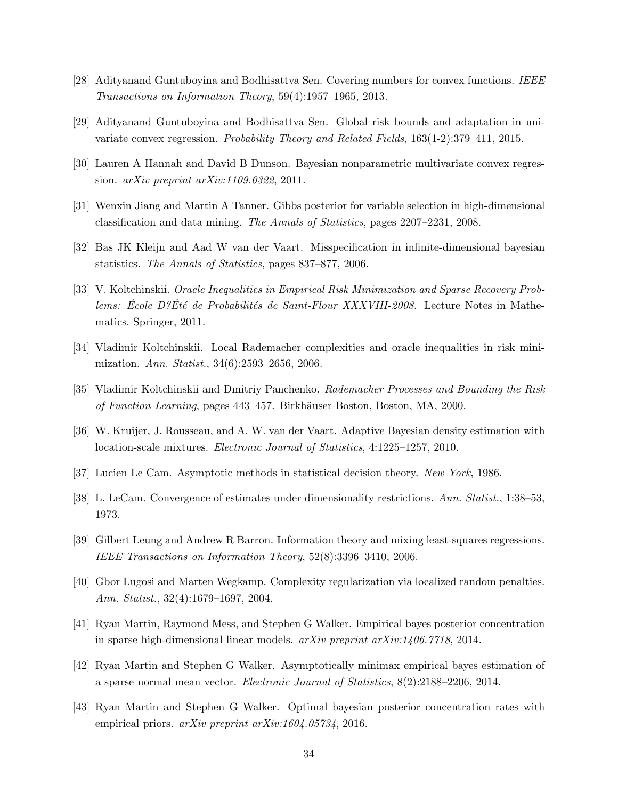- <span id="page-33-5"></span>[28] Adityanand Guntuboyina and Bodhisattva Sen. Covering numbers for convex functions. IEEE Transactions on Information Theory, 59(4):1957–1965, 2013.
- <span id="page-33-13"></span>[29] Adityanand Guntuboyina and Bodhisattva Sen. Global risk bounds and adaptation in univariate convex regression. Probability Theory and Related Fields, 163(1-2):379–411, 2015.
- <span id="page-33-14"></span>[30] Lauren A Hannah and David B Dunson. Bayesian nonparametric multivariate convex regression.  $arXiv$  preprint  $arXiv:1109.0322$ , 2011.
- <span id="page-33-2"></span>[31] Wenxin Jiang and Martin A Tanner. Gibbs posterior for variable selection in high-dimensional classification and data mining. The Annals of Statistics, pages 2207–2231, 2008.
- <span id="page-33-3"></span>[32] Bas JK Kleijn and Aad W van der Vaart. Misspecification in infinite-dimensional bayesian statistics. The Annals of Statistics, pages 837–877, 2006.
- <span id="page-33-7"></span>[33] V. Koltchinskii. Oracle Inequalities in Empirical Risk Minimization and Sparse Recovery Problems: École D? Été de Probabilités de Saint-Flour XXXVIII-2008. Lecture Notes in Mathematics. Springer, 2011.
- <span id="page-33-8"></span>[34] Vladimir Koltchinskii. Local Rademacher complexities and oracle inequalities in risk minimization. Ann. Statist., 34(6):2593–2656, 2006.
- <span id="page-33-12"></span>[35] Vladimir Koltchinskii and Dmitriy Panchenko. Rademacher Processes and Bounding the Risk of Function Learning, pages 443–457. Birkhäuser Boston, Boston, MA, 2000.
- <span id="page-33-15"></span>[36] W. Kruijer, J. Rousseau, and A. W. van der Vaart. Adaptive Bayesian density estimation with location-scale mixtures. Electronic Journal of Statistics, 4:1225–1257, 2010.
- <span id="page-33-11"></span>[37] Lucien Le Cam. Asymptotic methods in statistical decision theory. New York, 1986.
- <span id="page-33-9"></span>[38] L. LeCam. Convergence of estimates under dimensionality restrictions. Ann. Statist., 1:38–53, 1973.
- <span id="page-33-6"></span>[39] Gilbert Leung and Andrew R Barron. Information theory and mixing least-squares regressions. IEEE Transactions on Information Theory, 52(8):3396–3410, 2006.
- <span id="page-33-10"></span>[40] Gbor Lugosi and Marten Wegkamp. Complexity regularization via localized random penalties. Ann. Statist., 32(4):1679–1697, 2004.
- <span id="page-33-0"></span>[41] Ryan Martin, Raymond Mess, and Stephen G Walker. Empirical bayes posterior concentration in sparse high-dimensional linear models. arXiv preprint arXiv:1406.7718, 2014.
- <span id="page-33-1"></span>[42] Ryan Martin and Stephen G Walker. Asymptotically minimax empirical bayes estimation of a sparse normal mean vector. Electronic Journal of Statistics, 8(2):2188–2206, 2014.
- <span id="page-33-4"></span>[43] Ryan Martin and Stephen G Walker. Optimal bayesian posterior concentration rates with empirical priors. arXiv preprint arXiv:1604.05734, 2016.